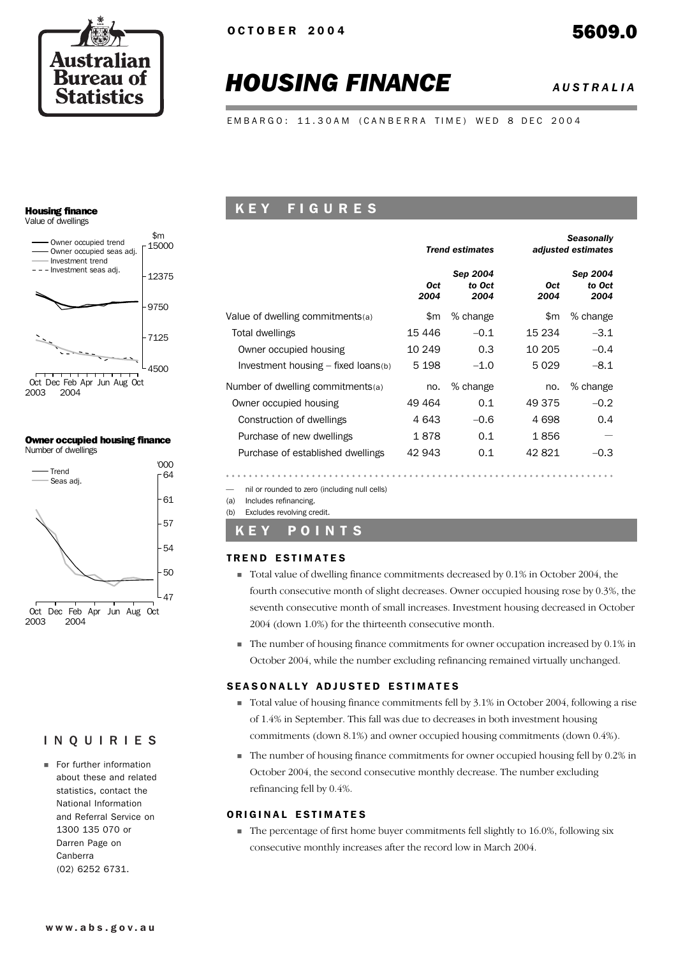

# *HOUSING FINANCE AUSTRALIA*

EMBARGO: 11.30AM (CANBERRA TIME) WED 8 DEC 2004

# Housing finance

Value of dwellings



2003 2004

#### Owner occupied housing finance Number of dwellings



# INQUIRIES

**Example 1** For further information about these and related statistics, contact the National Information and Referral Service on 1300 135 070 or Darren Page on Canberra (02) 6252 6731.

# K E Y F I G U R E S

|                                       |                    | <b>Trend estimates</b>     |             | <b>Seasonally</b><br>adjusted estimates |
|---------------------------------------|--------------------|----------------------------|-------------|-----------------------------------------|
|                                       | <b>Oct</b><br>2004 | Sep 2004<br>to Oct<br>2004 | Oct<br>2004 | Sep 2004<br>to Oct<br>2004              |
| Value of dwelling commitments(a)      | \$m                | % change                   | \$m         | % change                                |
| Total dwellings                       | 15 4 46            | $-0.1$                     | 15 234      | $-3.1$                                  |
| Owner occupied housing                | 10 249             | 0.3                        | 10 205      | $-0.4$                                  |
| Investment housing $-$ fixed loans(b) | 5 1 9 8            | $-1.0$                     | 5029        | $-8.1$                                  |
| Number of dwelling commitments(a)     | no.                | % change                   | no.         | % change                                |
| Owner occupied housing                | 49 464             | 0.1                        | 49 375      | $-0.2$                                  |
| Construction of dwellings             | 4 643              | $-0.6$                     | 4698        | 0.4                                     |
| Purchase of new dwellings             | 1878               | 0.1                        | 1856        |                                         |
| Purchase of established dwellings     | 42 943             | 0.1                        | 42821       | $-0.3$                                  |

— nil or rounded to zero (including null cells)

(a) Includes refinancing.

(b) Excludes revolving credit.

# K E Y P O I N T S

## **TREND ESTIMATES**

- ! Total value of dwelling finance commitments decreased by 0.1% in October 2004, the fourth consecutive month of slight decreases. Owner occupied housing rose by 0.3%, the seventh consecutive month of small increases. Investment housing decreased in October 2004 (down 1.0%) for the thirteenth consecutive month.
- ! The number of housing finance commitments for owner occupation increased by 0.1% in October 2004, while the number excluding refinancing remained virtually unchanged.

## SEASONALLY ADJUSTED ESTIMATES

- ! Total value of housing finance commitments fell by 3.1% in October 2004, following a rise of 1.4% in September. This fall was due to decreases in both investment housing commitments (down 8.1%) and owner occupied housing commitments (down 0.4%).
- ! The number of housing finance commitments for owner occupied housing fell by 0.2% in October 2004, the second consecutive monthly decrease. The number excluding refinancing fell by 0.4%.

#### ORIGINAL ESTIMATES

! The percentage of first home buyer commitments fell slightly to 16.0%, following six consecutive monthly increases after the record low in March 2004.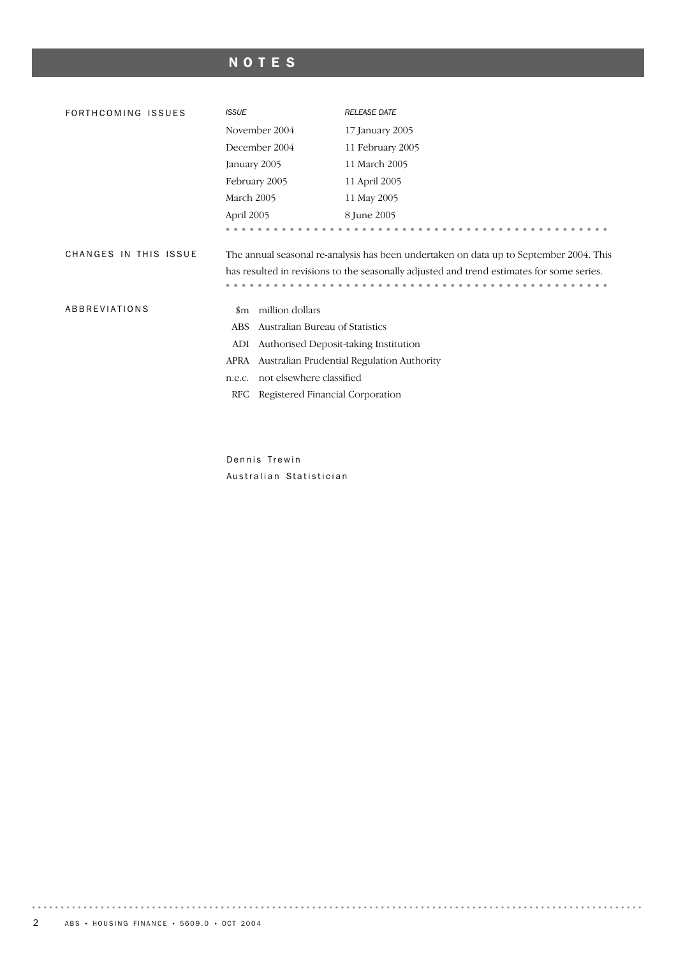# NOTES

| FORTHCOMING ISSUES    | <b>ISSUE</b>  |                                  | <b>RELEASE DATE</b>                                                                       |
|-----------------------|---------------|----------------------------------|-------------------------------------------------------------------------------------------|
|                       | November 2004 |                                  | 17 January 2005                                                                           |
|                       | December 2004 |                                  | 11 February 2005                                                                          |
|                       | January 2005  |                                  | 11 March 2005                                                                             |
|                       | February 2005 |                                  | 11 April 2005                                                                             |
|                       | March 2005    |                                  | 11 May 2005                                                                               |
|                       | April 2005    |                                  | 8 June 2005                                                                               |
|                       |               |                                  |                                                                                           |
| CHANGES IN THIS ISSUE |               |                                  | The annual seasonal re-analysis has been undertaken on data up to September 2004. This    |
|                       |               |                                  | has resulted in revisions to the seasonally adjusted and trend estimates for some series. |
|                       |               |                                  |                                                                                           |
| ABBREVIATIONS         | $_{\rm sm}$   | million dollars                  |                                                                                           |
|                       | <b>ABS</b>    | Australian Bureau of Statistics  |                                                                                           |
|                       | ADI           |                                  | Authorised Deposit-taking Institution                                                     |
|                       | APRA          |                                  | Australian Prudential Regulation Authority                                                |
|                       | n.e.c.        | not elsewhere classified         |                                                                                           |
|                       | RFC           | Registered Financial Corporation |                                                                                           |
|                       |               |                                  |                                                                                           |
|                       |               |                                  |                                                                                           |

Dennis Trewin Australian Statistician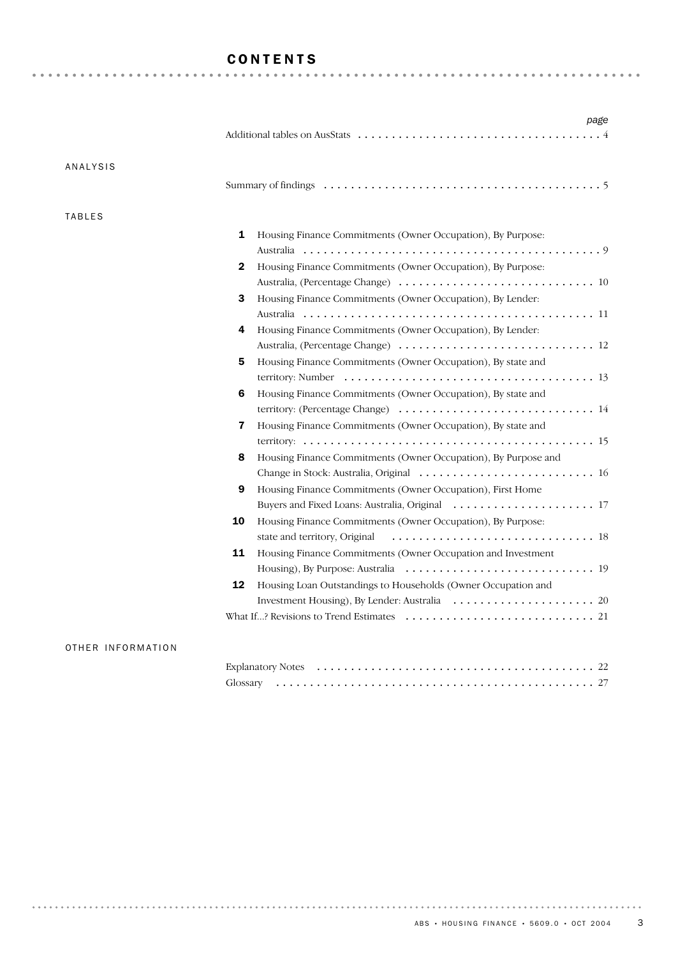# CONTENTS

| <b>ANALYSIS</b> |                                                                     |
|-----------------|---------------------------------------------------------------------|
|                 |                                                                     |
| <b>TABLES</b>   |                                                                     |
|                 | 1<br>Housing Finance Commitments (Owner Occupation), By Purpose:    |
|                 |                                                                     |
|                 | 2<br>Housing Finance Commitments (Owner Occupation), By Purpose:    |
|                 |                                                                     |
|                 | Housing Finance Commitments (Owner Occupation), By Lender:<br>3     |
|                 |                                                                     |
|                 | Housing Finance Commitments (Owner Occupation), By Lender:<br>4     |
|                 |                                                                     |
|                 | Housing Finance Commitments (Owner Occupation), By state and<br>5   |
|                 |                                                                     |
|                 | Housing Finance Commitments (Owner Occupation), By state and<br>6   |
|                 |                                                                     |
|                 | 7<br>Housing Finance Commitments (Owner Occupation), By state and   |
|                 |                                                                     |
|                 | Housing Finance Commitments (Owner Occupation), By Purpose and<br>8 |
|                 |                                                                     |
|                 | 9<br>Housing Finance Commitments (Owner Occupation), First Home     |
|                 |                                                                     |
|                 | Housing Finance Commitments (Owner Occupation), By Purpose:<br>10   |
|                 |                                                                     |
|                 | 11<br>Housing Finance Commitments (Owner Occupation and Investment  |
|                 |                                                                     |
|                 | 12<br>Housing Loan Outstandings to Households (Owner Occupation and |
|                 |                                                                     |
|                 |                                                                     |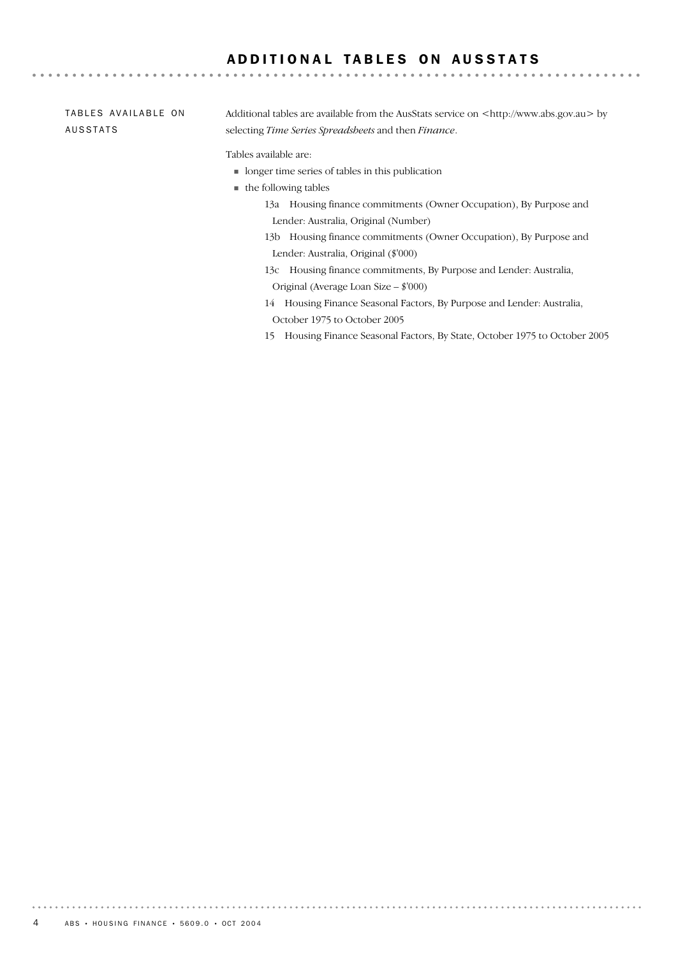# ADDITIONAL TABLES ON AUSSTATS

#### Additional tables are available from the AusStats service on <http://www.abs.gov.au> by selecting *Time Series Spreadsheets* and then *Finance*. Tables available are: TABLES AVAILABLE ON AUSSTATS

- ! longer time series of tables in this publication
- $\blacksquare$  the following tables
	- 13a Housing finance commitments (Owner Occupation), By Purpose and Lender: Australia, Original (Number)
	- 13b Housing finance commitments (Owner Occupation), By Purpose and Lender: Australia, Original (\$'000)
	- 13c Housing finance commitments, By Purpose and Lender: Australia, Original (Average Loan Size – \$'000)
	- 14 Housing Finance Seasonal Factors, By Purpose and Lender: Australia, October 1975 to October 2005
	- 15 Housing Finance Seasonal Factors, By State, October 1975 to October 2005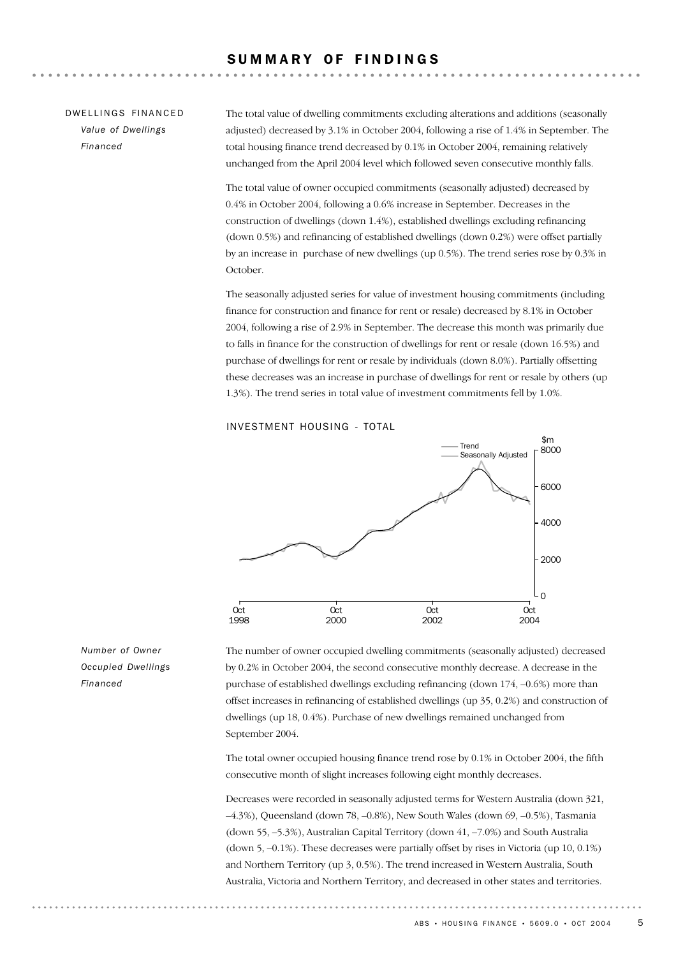#### SUMMARY OF FINDINGS

### DW FILINGS FINANCED *Value of Dwellings Financed*

The total value of dwelling commitments excluding alterations and additions (seasonally adjusted) decreased by 3.1% in October 2004, following a rise of 1.4% in September. The total housing finance trend decreased by 0.1% in October 2004, remaining relatively unchanged from the April 2004 level which followed seven consecutive monthly falls.

The total value of owner occupied commitments (seasonally adjusted) decreased by 0.4% in October 2004, following a 0.6% increase in September. Decreases in the construction of dwellings (down 1.4%), established dwellings excluding refinancing (down 0.5%) and refinancing of established dwellings (down 0.2%) were offset partially by an increase in purchase of new dwellings (up 0.5%). The trend series rose by 0.3% in October.

The seasonally adjusted series for value of investment housing commitments (including finance for construction and finance for rent or resale) decreased by 8.1% in October 2004, following a rise of 2.9% in September. The decrease this month was primarily due to falls in finance for the construction of dwellings for rent or resale (down 16.5%) and purchase of dwellings for rent or resale by individuals (down 8.0%). Partially offsetting these decreases was an increase in purchase of dwellings for rent or resale by others (up 1.3%). The trend series in total value of investment commitments fell by 1.0%.

#### INVESTMENT HOUSING - TOTAL



The number of owner occupied dwelling commitments (seasonally adjusted) decreased by 0.2% in October 2004, the second consecutive monthly decrease. A decrease in the purchase of established dwellings excluding refinancing (down 174, –0.6%) more than offset increases in refinancing of established dwellings (up 35, 0.2%) and construction of dwellings (up 18, 0.4%). Purchase of new dwellings remained unchanged from September 2004.

The total owner occupied housing finance trend rose by 0.1% in October 2004, the fifth consecutive month of slight increases following eight monthly decreases.

Decreases were recorded in seasonally adjusted terms for Western Australia (down 321, –4.3%), Queensland (down 78, –0.8%), New South Wales (down 69, –0.5%), Tasmania (down 55, –5.3%), Australian Capital Territory (down 41, –7.0%) and South Australia (down 5, –0.1%). These decreases were partially offset by rises in Victoria (up 10, 0.1%) and Northern Territory (up 3, 0.5%). The trend increased in Western Australia, South Australia, Victoria and Northern Territory, and decreased in other states and territories.

*Number of Owner Occupied Dwellings Financed*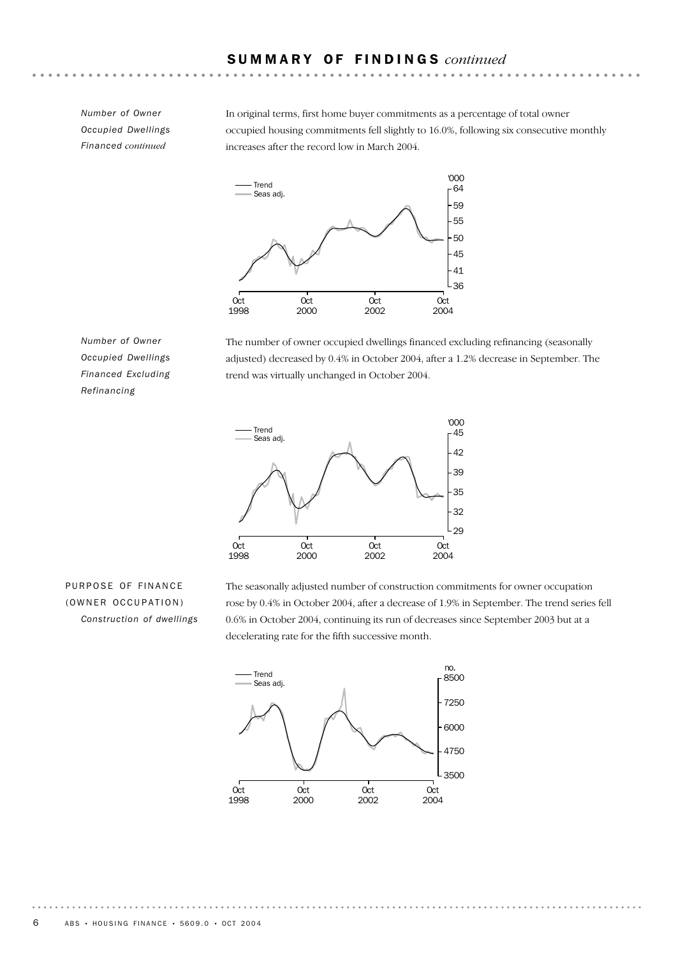*Number of Owner Occupied Dwellings Financed continued*

In original terms, first home buyer commitments as a percentage of total owner occupied housing commitments fell slightly to 16.0%, following six consecutive monthly increases after the record low in March 2004.



*Number of Owner Occupied Dwellings Financed Excluding Refinancing*

The number of owner occupied dwellings financed excluding refinancing (seasonally adjusted) decreased by 0.4% in October 2004, after a 1.2% decrease in September. The trend was virtually unchanged in October 2004.



# PURPOSE OF FINANCE (OWNER OCCUPATION) *Construction of dwellings*

The seasonally adjusted number of construction commitments for owner occupation rose by 0.4% in October 2004, after a decrease of 1.9% in September. The trend series fell 0.6% in October 2004, continuing its run of decreases since September 2003 but at a decelerating rate for the fifth successive month.

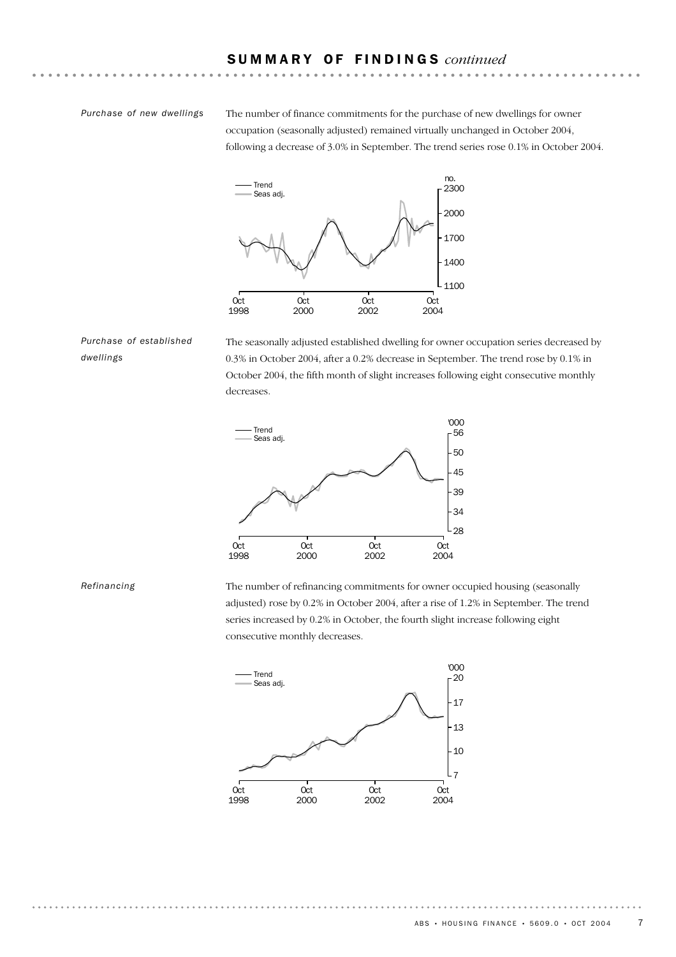#### *Purchase of new dwellings*

The number of finance commitments for the purchase of new dwellings for owner occupation (seasonally adjusted) remained virtually unchanged in October 2004, following a decrease of 3.0% in September. The trend series rose 0.1% in October 2004.



*Purchase of established dwellings*

The seasonally adjusted established dwelling for owner occupation series decreased by 0.3% in October 2004, after a 0.2% decrease in September. The trend rose by 0.1% in October 2004, the fifth month of slight increases following eight consecutive monthly decreases.



*Refinancing*

The number of refinancing commitments for owner occupied housing (seasonally adjusted) rose by 0.2% in October 2004, after a rise of 1.2% in September. The trend series increased by 0.2% in October, the fourth slight increase following eight consecutive monthly decreases.

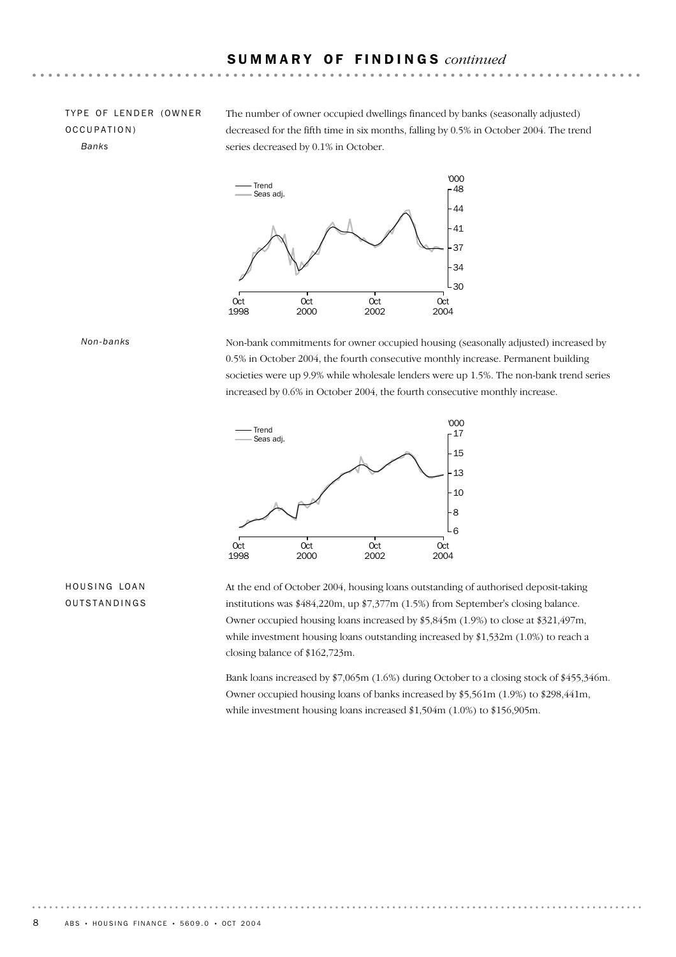### TYPE OF LENDER (OWNER OCCUPATION) *Banks*

The number of owner occupied dwellings financed by banks (seasonally adjusted) decreased for the fifth time in six months, falling by 0.5% in October 2004. The trend series decreased by 0.1% in October.



#### *Non-banks*

Non-bank commitments for owner occupied housing (seasonally adjusted) increased by 0.5% in October 2004, the fourth consecutive monthly increase. Permanent building societies were up 9.9% while wholesale lenders were up 1.5%. The non-bank trend series increased by 0.6% in October 2004, the fourth consecutive monthly increase.



#### HOUSING LOAN OUTSTANDINGS

At the end of October 2004, housing loans outstanding of authorised deposit-taking institutions was \$484,220m, up \$7,377m (1.5%) from September's closing balance. Owner occupied housing loans increased by \$5,845m (1.9%) to close at \$321,497m, while investment housing loans outstanding increased by \$1,532m (1.0%) to reach a closing balance of \$162,723m.

Bank loans increased by \$7,065m (1.6%) during October to a closing stock of \$455,346m. Owner occupied housing loans of banks increased by \$5,561m (1.9%) to \$298,441m, while investment housing loans increased \$1,504m (1.0%) to \$156,905m.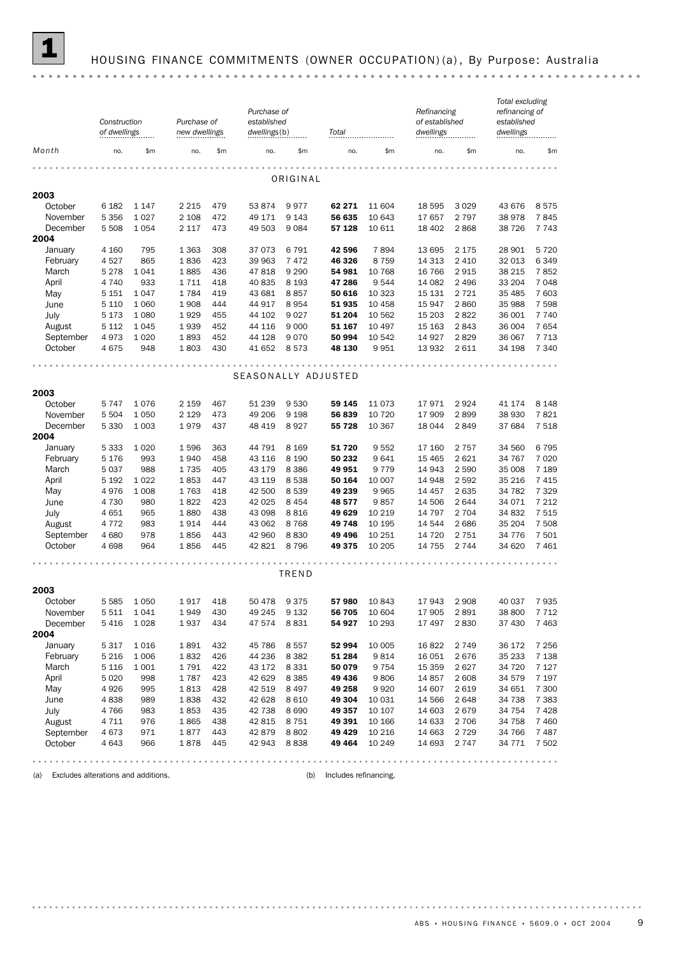

#### 1 HOUSING FINANCE COMMITMENTS (OWNER OCCUPATION) (a) , By Purpose: Australia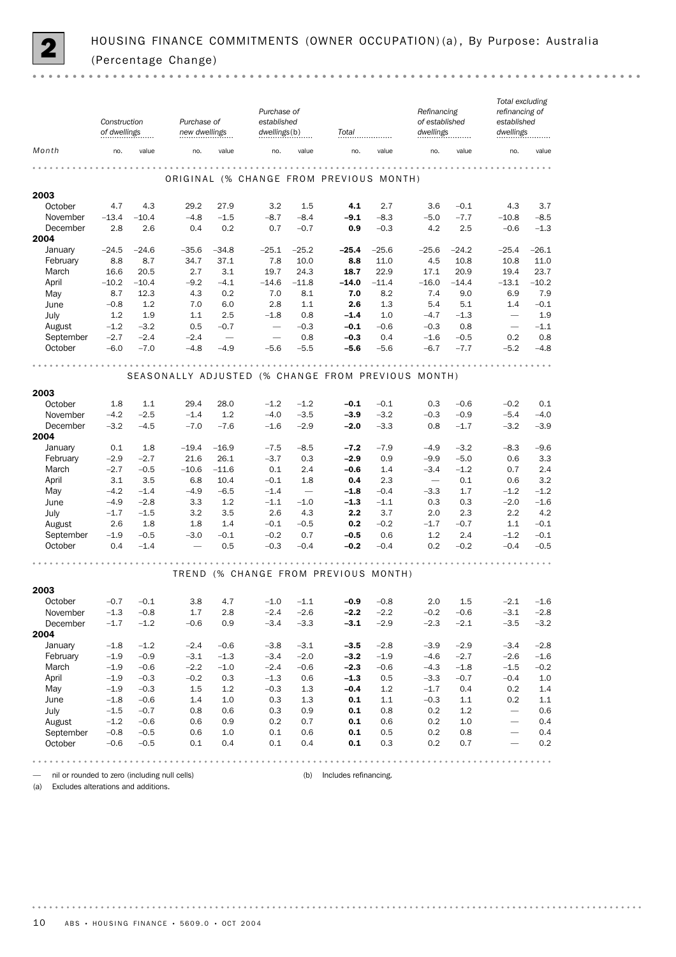

|                                                                           | Construction<br>of dwellings |                  | Purchase of<br>new dwellings |            | Purchase of<br>established<br>dwellings(b) |            | Total                                              |                  | Refinancing<br>of established<br>dwellings |            | Total excluding<br>refinancing of<br>established<br>dwellings |            |
|---------------------------------------------------------------------------|------------------------------|------------------|------------------------------|------------|--------------------------------------------|------------|----------------------------------------------------|------------------|--------------------------------------------|------------|---------------------------------------------------------------|------------|
| Month                                                                     | no.                          | value            | no.                          | value      | no.                                        | value      | no.                                                | value            | no.                                        | value      | no.                                                           | value      |
|                                                                           |                              |                  |                              |            |                                            |            | ORIGINAL (% CHANGE FROM PREVIOUS MONTH)            |                  | $-0.0000$                                  |            |                                                               |            |
| 2003                                                                      |                              |                  |                              |            |                                            |            |                                                    |                  |                                            |            |                                                               |            |
| October                                                                   | 4.7                          | 4.3              | 29.2                         | 27.9       | 3.2                                        | 1.5        | 4.1                                                | 2.7              | 3.6                                        | $-0.1$     | 4.3                                                           | 3.7        |
| November                                                                  | $-13.4$                      | $-10.4$          | $-4.8$                       | $-1.5$     | $-8.7$                                     | $-8.4$     | $-9.1$                                             | $-8.3$           | $-5.0$                                     | $-7.7$     | $-10.8$                                                       | $-8.5$     |
| December<br>2004                                                          | 2.8                          | 2.6              | 0.4                          | 0.2        | 0.7                                        | $-0.7$     | 0.9                                                | $-0.3$           | 4.2                                        | 2.5        | $-0.6$                                                        | $-1.3$     |
| January                                                                   | $-24.5$                      | $-24.6$          | $-35.6$                      | $-34.8$    | $-25.1$                                    | $-25.2$    | -25.4                                              | $-25.6$          | $-25.6$                                    | $-24.2$    | $-25.4$                                                       | -26.1      |
| February                                                                  | 8.8                          | 8.7              | 34.7                         | 37.1       | 7.8                                        | 10.0       | 8.8                                                | 11.0             | 4.5                                        | 10.8       | 10.8                                                          | 11.0       |
| March                                                                     | 16.6                         | 20.5             | 2.7                          | 3.1        | 19.7                                       | 24.3       | 18.7                                               | 22.9             | 17.1                                       | 20.9       | 19.4                                                          | 23.7       |
| April                                                                     | $-10.2$                      | $-10.4$          | $-9.2$                       | $-4.1$     | $-14.6$                                    | $-11.8$    | $-14.0$                                            | $-11.4$          | $-16.0$                                    | $-14.4$    | $-13.1$                                                       | $-10.2$    |
| May                                                                       | 8.7                          | 12.3             | 4.3                          | 0.2        | 7.0                                        | 8.1        | 7.0                                                | 8.2              | 7.4                                        | 9.0        | 6.9                                                           | 7.9        |
| June                                                                      | $-0.8$                       | 1.2              | 7.0                          | 6.0        | 2.8                                        | 1.1        | 2.6                                                | 1.3              | 5.4                                        | 5.1        | 1.4                                                           | $-0.1$     |
| July                                                                      | 1.2                          | 1.9              | 1.1                          | 2.5        | $-1.8$                                     | 0.8        | $-1.4$                                             | 1.0              | $-4.7$                                     | $-1.3$     | $\overline{\phantom{m}}$                                      | 1.9        |
| August                                                                    | $-1.2$                       | $-3.2$           | 0.5                          | $-0.7$     |                                            | $-0.3$     | $-0.1$                                             | $-0.6$           | $-0.3$                                     | 0.8        | $\overline{\phantom{0}}$                                      | $-1.1$     |
| September                                                                 | $-2.7$                       | $-2.4$           | $-2.4$                       |            |                                            | 0.8        | $-0.3$                                             | 0.4              | $-1.6$                                     | $-0.5$     | 0.2                                                           | 0.8        |
| October                                                                   | $-6.0$                       | $-7.0$           | $-4.8$                       | $-4.9$     | $-5.6$                                     | $-5.5$     | $-5.6$                                             | $-5.6$           | $-6.7$                                     | $-7.7$     | $-5.2$                                                        | $-4.8$     |
|                                                                           |                              |                  |                              |            |                                            |            |                                                    |                  |                                            |            |                                                               |            |
|                                                                           |                              |                  |                              |            |                                            |            | SEASONALLY ADJUSTED (% CHANGE FROM PREVIOUS MONTH) |                  |                                            |            |                                                               |            |
| 2003                                                                      |                              |                  |                              |            |                                            |            |                                                    |                  |                                            |            |                                                               |            |
| October                                                                   | 1.8                          | 1.1              | 29.4                         | 28.0       | $-1.2$                                     | $-1.2$     | $-0.1$                                             | $-0.1$           | 0.3                                        | $-0.6$     | $-0.2$                                                        | 0.1        |
| November                                                                  | $-4.2$                       | $-2.5$           | $-1.4$                       | 1.2        | $-4.0$                                     | $-3.5$     | $-3.9$                                             | $-3.2$           | $-0.3$                                     | $-0.9$     | $-5.4$                                                        | $-4.0$     |
| December<br>2004                                                          | $-3.2$                       | $-4.5$           | $-7.0$                       | $-7.6$     | $-1.6$                                     | $-2.9$     | $-2.0$                                             | $-3.3$           | 0.8                                        | $-1.7$     | $-3.2$                                                        | $-3.9$     |
| January                                                                   | 0.1                          | 1.8              | $-19.4$                      | $-16.9$    | $-7.5$                                     | $-8.5$     | $-7.2$                                             | $-7.9$           | $-4.9$                                     | $-3.2$     | $-8.3$                                                        | $-9.6$     |
| February                                                                  | $-2.9$                       | $-2.7$           | 21.6                         | 26.1       | $-3.7$                                     | 0.3        | $-2.9$                                             | 0.9              | $-9.9$                                     | $-5.0$     | 0.6                                                           | 3.3        |
| March                                                                     | $-2.7$                       | $-0.5$           | $-10.6$                      | $-11.6$    | 0.1                                        | 2.4        | $-0.6$                                             | 1.4              | $-3.4$                                     | $-1.2$     | 0.7                                                           | 2.4        |
| April                                                                     | 3.1                          | 3.5              | 6.8                          | 10.4       | $-0.1$                                     | 1.8        | 0.4                                                | 2.3              | $\overline{\phantom{m}}$                   | 0.1        | 0.6                                                           | 3.2        |
| May                                                                       | $-4.2$                       | $-1.4$           | $-4.9$                       | $-6.5$     | $-1.4$                                     |            | $-1.8$                                             | $-0.4$           | $-3.3$                                     | 1.7        | $-1.2$                                                        | $-1.2$     |
| June                                                                      | $-4.9$                       | $-2.8$           | 3.3                          | 1.2        | $-1.1$                                     | $-1.0$     | $-1.3$                                             | $-1.1$           | 0.3                                        | 0.3        | $-2.0$                                                        | $-1.6$     |
| July                                                                      | $-1.7$                       | $-1.5$           | 3.2                          | 3.5        | 2.6                                        | 4.3        | 2.2                                                | 3.7              | 2.0                                        | 2.3        | 2.2                                                           | 4.2        |
| August                                                                    | 2.6                          | 1.8              | 1.8                          | 1.4        | $-0.1$                                     | $-0.5$     | 0.2                                                | $-0.2$           | $-1.7$                                     | $-0.7$     | 1.1                                                           | $-0.1$     |
| September                                                                 | $-1.9$                       | $-0.5$           | $-3.0$                       | $-0.1$     | $-0.2$                                     | 0.7        | $-0.5$                                             | 0.6              | 1.2                                        | 2.4        | $-1.2$                                                        | $-0.1$     |
| October                                                                   | 0.4                          | $-1.4$           |                              | 0.5        | $-0.3$                                     | $-0.4$     | $-0.2$                                             | $-0.4$           | 0.2                                        | $-0.2$     | $-0.4$                                                        | $-0.5$     |
|                                                                           |                              |                  |                              |            |                                            |            | TREND (% CHANGE FROM PREVIOUS MONTH)               |                  |                                            |            |                                                               |            |
|                                                                           |                              |                  |                              |            |                                            |            |                                                    |                  |                                            |            |                                                               |            |
| 2003                                                                      |                              |                  |                              |            |                                            |            |                                                    |                  |                                            |            |                                                               |            |
| October                                                                   | $-0.7$                       | $-0.1$           | 3.8                          | 4.7        | $-1.0$                                     | $-1.1$     | $-0.9$                                             | $-0.8$           | 2.0                                        | 1.5        | $-2.1$                                                        | $-1.6$     |
| November                                                                  | $-1.3$                       | $-0.8$           | 1.7                          | 2.8<br>0.9 | $-2.4$                                     | $-2.6$     | $-2.2$                                             | $-2.2$<br>$-2.9$ | $-0.2$                                     | $-0.6$     | $-3.1$                                                        | $-2.8$     |
| December<br>2004                                                          | $-1.7$                       | $-1.2$           | $-0.6$                       |            | $-3.4$                                     | $-3.3$     | $-3.1$                                             |                  | $-2.3$                                     | $-2.1$     | $-3.5$                                                        | $-3.2$     |
| January                                                                   | $-1.8$                       | $-1.2$           | $-2.4$                       | $-0.6$     | $-3.8$                                     | $-3.1$     | $-3.5$                                             | $-2.8$           | $-3.9$                                     | $-2.9$     | $-3.4$                                                        | $-2.8$     |
| February                                                                  | $-1.9$                       | $-0.9$           | $-3.1$                       | $-1.3$     | $-3.4$                                     | $-2.0$     | $-3.2$                                             | $-1.9$           | $-4.6$                                     | $-2.7$     | $-2.6$                                                        | $-1.6$     |
| March                                                                     | $-1.9$                       | $-0.6$           | $-2.2$                       | $-1.0$     | $-2.4$                                     | $-0.6$     | $-2.3$                                             | $-0.6$           | $-4.3$                                     | $-1.8$     | $-1.5$                                                        | $-0.2$     |
| April                                                                     | $-1.9$                       | $-0.3$           | $-0.2$                       | 0.3        | $-1.3$                                     | 0.6        | $-1.3$                                             | 0.5              | $-3.3$                                     | $-0.7$     | $-0.4$                                                        | 1.0        |
| May                                                                       | $-1.9$                       | $-0.3$           | 1.5                          | 1.2        | $-0.3$                                     | 1.3        | $-0.4$                                             | 1.2              | $-1.7$                                     | 0.4        | 0.2                                                           | 1.4        |
| June                                                                      | $-1.8$                       | $-0.6$           | 1.4                          | 1.0        | 0.3                                        | 1.3        | 0.1                                                | 1.1              | $-0.3$                                     | $1.1\,$    | 0.2                                                           | $1.1\,$    |
| July                                                                      | $-1.5$                       | $-0.7$           | 0.8                          | 0.6        | 0.3                                        | 0.9        | 0.1                                                | 0.8              | 0.2                                        | 1.2        | $\overline{\phantom{m}}$                                      | 0.6        |
| August                                                                    | $-1.2$                       | $-0.6$           | 0.6                          | 0.9        | 0.2                                        | 0.7        | 0.1                                                | 0.6              | 0.2                                        | 1.0        | $\overline{\phantom{m}}$                                      | 0.4        |
| September<br>October                                                      | $-0.8$<br>$-0.6$             | $-0.5$<br>$-0.5$ | 0.6<br>0.1                   | 1.0<br>0.4 | 0.1<br>0.1                                 | 0.6<br>0.4 | 0.1<br>0.1                                         | 0.5<br>0.3       | 0.2<br>0.2                                 | 0.8<br>0.7 | $\overline{\phantom{0}}$                                      | 0.4<br>0.2 |
|                                                                           |                              |                  |                              |            |                                            |            |                                                    |                  |                                            |            |                                                               |            |
|                                                                           |                              |                  |                              |            |                                            |            |                                                    |                  |                                            |            |                                                               |            |
| nil or rounded to zero (including null cells)<br>$\overline{\phantom{0}}$ |                              |                  |                              |            |                                            |            | (b) Includes refinancing.                          |                  |                                            |            |                                                               |            |

(a) Excludes alterations and additions.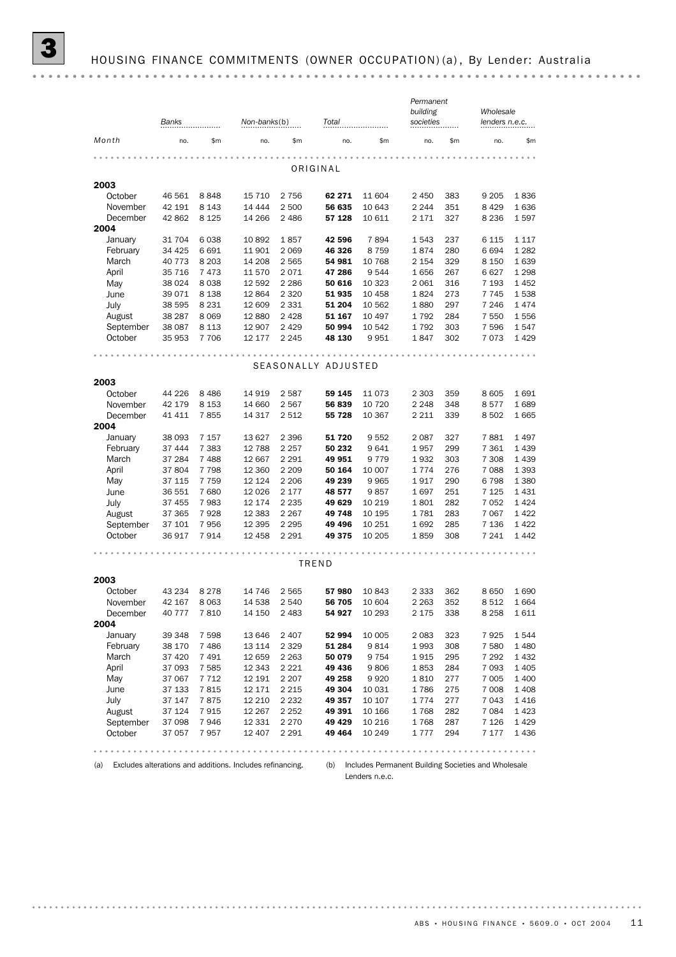(a) Excludes alterations and additions. Includes refinancing.

(b) Includes Permanent Building Societies and Wholesale Lenders n.e.c.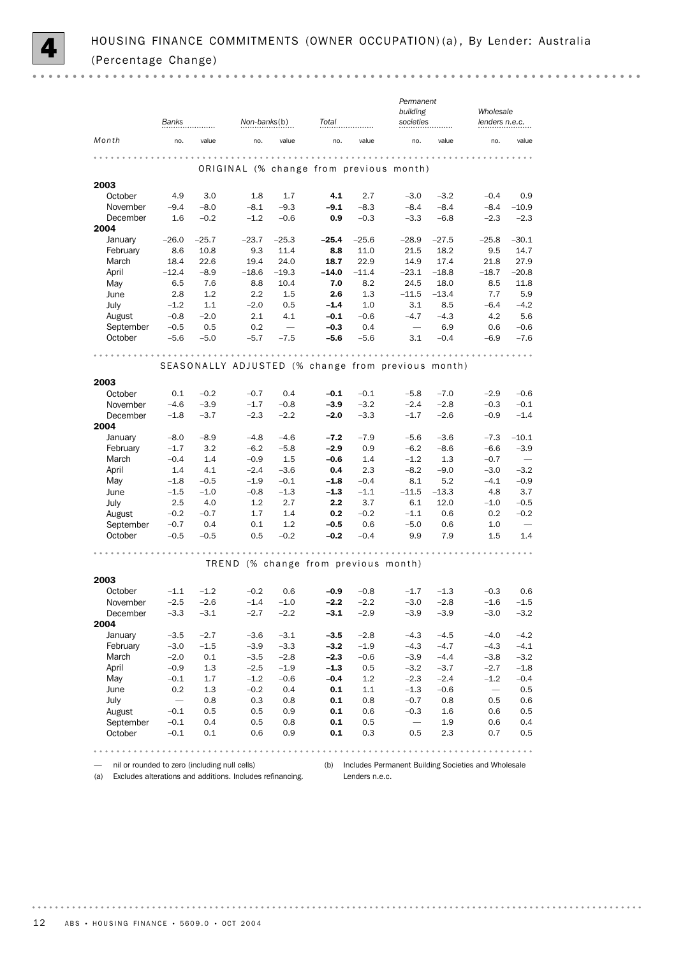|                  |                          |                  |                  |                          |                                      |            | Permanent                                          |               |                   |                          |
|------------------|--------------------------|------------------|------------------|--------------------------|--------------------------------------|------------|----------------------------------------------------|---------------|-------------------|--------------------------|
|                  |                          |                  |                  |                          |                                      |            | building                                           |               | Wholesale         |                          |
|                  | Banks                    |                  | Non-banks(b)     |                          | Total                                |            | societies                                          |               | lenders n.e.c.    |                          |
| Month            | no.                      | value            | no.              | value                    | no.                                  | value      | no.                                                | value         | no.               | value                    |
|                  |                          |                  |                  |                          |                                      |            |                                                    |               |                   |                          |
|                  |                          |                  |                  |                          |                                      |            | ORIGINAL (% change from previous month)            |               |                   |                          |
| 2003             |                          |                  |                  |                          |                                      |            |                                                    |               |                   |                          |
| October          | 4.9                      | 3.0              | 1.8              | 1.7                      | 4.1                                  | 2.7        | $-3.0$                                             | $-3.2$        | $-0.4$            | 0.9                      |
| November         | $-9.4$                   | $-8.0$           | $-8.1$           | $-9.3$                   | $-9.1$                               | $-8.3$     | $-8.4$                                             | $-8.4$        | $-8.4$            | $-10.9$                  |
| December         | 1.6                      | $-0.2$           | $-1.2$           | $-0.6$                   | 0.9                                  | $-0.3$     | $-3.3$                                             | $-6.8$        | $-2.3$            | $-2.3$                   |
| 2004             |                          |                  |                  |                          |                                      |            |                                                    |               |                   |                          |
| January          | $-26.0$                  | $-25.7$          | $-23.7$          | $-25.3$                  | $-25.4$                              | $-25.6$    | $-28.9$                                            | $-27.5$       | $-25.8$           | $-30.1$                  |
| February         | 8.6                      | 10.8             | 9.3              | 11.4                     | 8.8                                  | 11.0       | 21.5                                               | 18.2          | 9.5               | 14.7                     |
| March            | 18.4                     | 22.6             | 19.4             | 24.0                     | 18.7                                 | 22.9       | 14.9                                               | 17.4          | 21.8              | 27.9                     |
| April            | $-12.4$                  | $-8.9$           | $-18.6$          | $-19.3$                  | $-14.0$                              | $-11.4$    | $-23.1$                                            | $-18.8$       | $-18.7$           | $-20.8$                  |
| May              | 6.5<br>2.8               | 7.6              | 8.8<br>2.2       | 10.4<br>1.5              | 7.0<br>2.6                           | 8.2<br>1.3 | 24.5                                               | 18.0          | 8.5               | 11.8<br>5.9              |
| June             | $-1.2$                   | 1.2<br>1.1       | $-2.0$           | 0.5                      | $-1.4$                               | 1.0        | $-11.5$<br>3.1                                     | $-13.4$       | 7.7<br>$-6.4$     | $-4.2$                   |
| July<br>August   |                          |                  | 2.1              | 4.1                      | $-0.1$                               | $-0.6$     | $-4.7$                                             | 8.5<br>$-4.3$ | 4.2               | 5.6                      |
| September        | $-0.8$<br>$-0.5$         | $-2.0$<br>0.5    | 0.2              | $\overline{\phantom{0}}$ | $-0.3$                               | 0.4        | $\overline{\phantom{m}}$                           | 6.9           | 0.6               | $-0.6$                   |
| October          | $-5.6$                   | $-5.0$           | $-5.7$           | $-7.5$                   | $-5.6$                               | $-5.6$     | 3.1                                                | $-0.4$        | $-6.9$            | $-7.6$                   |
|                  |                          |                  |                  |                          |                                      |            |                                                    |               |                   |                          |
|                  |                          |                  |                  |                          | .                                    |            |                                                    |               |                   |                          |
|                  |                          |                  |                  |                          |                                      |            | SEASONALLY ADJUSTED (% change from previous month) |               |                   |                          |
| 2003             |                          |                  |                  |                          |                                      |            |                                                    |               |                   |                          |
| October          | 0.1                      | $-0.2$           | $-0.7$           | 0.4                      | $-0.1$                               | $-0.1$     | $-5.8$                                             | $-7.0$        | $-2.9$            | $-0.6$                   |
| November         | $-4.6$                   | $-3.9$           | $-1.7$           | $-0.8$                   | $-3.9$                               | $-3.2$     | $-2.4$                                             | $-2.8$        | $-0.3$            | $-0.1$                   |
| December         | $-1.8$                   | $-3.7$           | $-2.3$           | $-2.2$                   | $-2.0$                               | $-3.3$     | $-1.7$                                             | $-2.6$        | $-0.9$            | $-1.4$                   |
| 2004             |                          |                  |                  |                          |                                      |            |                                                    |               |                   |                          |
| January          | $-8.0$                   | $-8.9$           | $-4.8$           | $-4.6$                   | $-7.2$                               | $-7.9$     | $-5.6$                                             | $-3.6$        | $-7.3$            | $-10.1$                  |
| February         | $-1.7$                   | 3.2              | $-6.2$           | $-5.8$                   | $-2.9$                               | 0.9        | $-6.2$                                             | $-8.6$        | $-6.6$            | $-3.9$                   |
| March            | $-0.4$                   | 1.4              | $-0.9$           | 1.5                      | $-0.6$                               | 1.4        | $-1.2$                                             | 1.3           | $-0.7$            | $\overline{\phantom{0}}$ |
| April            | 1.4                      | 4.1              | $-2.4$           | $-3.6$                   | 0.4                                  | 2.3        | $-8.2$                                             | $-9.0$        | $-3.0$            | $-3.2$                   |
| May              | $-1.8$                   | $-0.5$           | $-1.9$           | $-0.1$                   | $-1.8$                               | $-0.4$     | 8.1                                                | 5.2           | $-4.1$            | $-0.9$                   |
| June             | $-1.5$                   | $-1.0$           | $-0.8$           | $-1.3$                   | $-1.3$                               | $-1.1$     | $-11.5$                                            | $-13.3$       | 4.8               | 3.7                      |
| July             | 2.5                      | 4.0              | 1.2              | 2.7                      | 2.2                                  | 3.7        | 6.1                                                | 12.0          | $-1.0$            | $-0.5$                   |
| August           | $-0.2$                   | $-0.7$           | 1.7              | 1.4                      | 0.2                                  | $-0.2$     | $-1.1$                                             | 0.6           | 0.2               | $-0.2$                   |
| September        | $-0.7$                   | 0.4              | 0.1              | 1.2                      | $-0.5$                               | 0.6        | $-5.0$                                             | 0.6           | 1.0               | $\overline{\phantom{m}}$ |
| October          | $-0.5$                   | $-0.5$           | 0.5              | $-0.2$                   | $-0.2$                               | $-0.4$     | 9.9                                                | 7.9           | 1.5               | 1.4                      |
|                  |                          |                  |                  |                          |                                      |            |                                                    |               |                   |                          |
|                  |                          |                  |                  |                          | TREND (% change from previous month) |            |                                                    |               |                   |                          |
|                  |                          |                  |                  |                          |                                      |            |                                                    |               |                   |                          |
| 2003<br>October  | $-1.1$                   | $-1.2$           | $-0.2$           | 0.6                      |                                      |            | $-1.7$                                             | $-1.3$        |                   |                          |
|                  |                          |                  |                  |                          | $-0.9$                               | $-0.8$     |                                                    |               | $-0.3$            | 0.6                      |
| November         | $-2.5$                   | $-2.6$<br>$-3.1$ | $-1.4$<br>$-2.7$ | $-1.0$                   | $-2.2$<br>$-3.1$                     | $-2.2$     | $-3.0$<br>$-3.9$                                   | $-2.8$        | $-1.6$<br>$-3.0$  | $-1.5$<br>$-3.2$         |
| December<br>2004 | $-3.3$                   |                  |                  | $-2.2$                   |                                      | $-2.9$     |                                                    | $-3.9$        |                   |                          |
| January          | $-3.5$                   | $-2.7$           | $-3.6$           | $-3.1$                   | $-3.5$                               | $-2.8$     | $-4.3$                                             | $-4.5$        | $-4.0$            | $-4.2$                   |
| February         | $-3.0$                   | $-1.5$           | $-3.9$           | $-3.3$                   | $-3.2$                               | $-1.9$     | $-4.3$                                             | $-4.7$        | $-4.3$            | $-4.1$                   |
| March            | $-2.0$                   | 0.1              | $-3.5$           | $-2.8$                   | $-2.3$                               | $-0.6$     | $-3.9$                                             | $-4.4$        | $-3.8$            | $-3.2$                   |
| April            | $-0.9$                   | 1.3              | $-2.5$           | $-1.9$                   | $-1.3$                               | 0.5        | $-3.2$                                             | $-3.7$        | $-2.7$            | $-1.8$                   |
| May              | $-0.1$                   | 1.7              | $-1.2$           | $-0.6$                   | $-0.4$                               | 1.2        | $-2.3$                                             | $-2.4$        | $-1.2$            | $-0.4$                   |
| June             | 0.2                      | 1.3              | $-0.2$           | 0.4                      | 0.1                                  | 1.1        | $-1.3$                                             | $-0.6$        | $\qquad \qquad -$ | 0.5                      |
| July             | $\overline{\phantom{0}}$ | 0.8              | 0.3              | 0.8                      | 0.1                                  | 0.8        | $-0.7$                                             | 0.8           | 0.5               | 0.6                      |
| August           | $-0.1$                   | 0.5              | 0.5              | 0.9                      | 0.1                                  | 0.6        | $-0.3$                                             | 1.6           | 0.6               | 0.5                      |
| September        | $-0.1$                   | 0.4              | 0.5              | 0.8                      | 0.1                                  | 0.5        | $\overline{\phantom{0}}$                           | 1.9           | 0.6               | 0.4                      |
| October          | $-0.1$                   | 0.1              | 0.6              | 0.9                      | 0.1                                  | 0.3        | 0.5                                                | 2.3           | 0.7               | 0.5                      |
|                  |                          |                  |                  |                          |                                      |            |                                                    |               |                   |                          |

— nil or rounded to zero (including null cells)

(a) Excludes alterations and additions. Includes refinancing.

(b) Includes Permanent Building Societies and Wholesale Lenders n.e.c.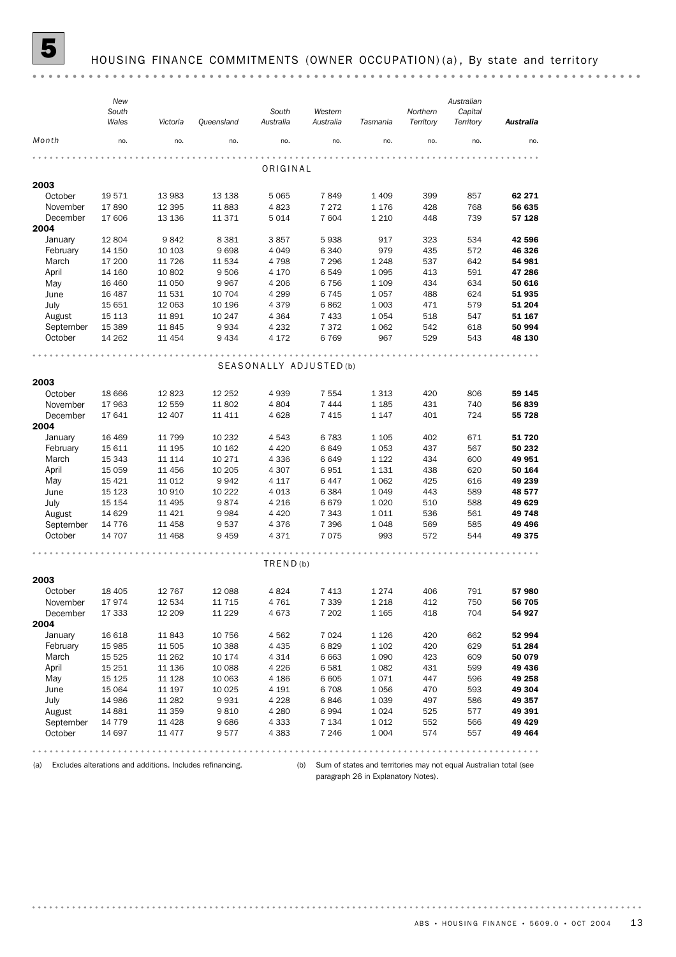

### HOUSING FINANCE COMMITMENTS (OWNER OCCUPATION) (a), By state and territory

(a) Excludes alterations and additions. Includes refinancing.

(b) Sum of states and territories may not equal Australian total (see paragraph 26 in Explanatory Notes).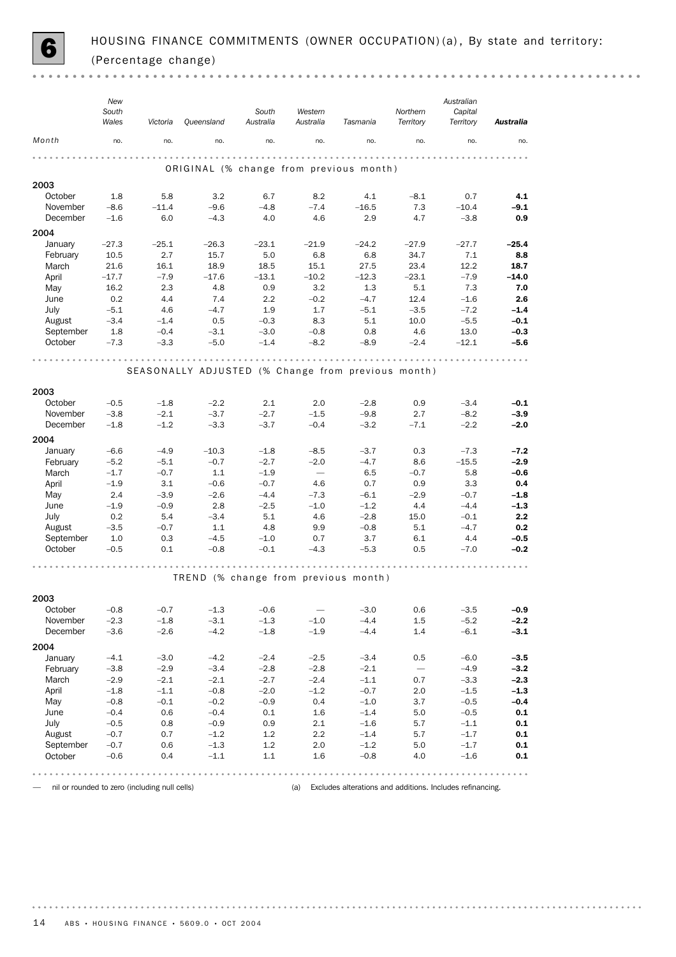

|                     | New<br>South<br>Wales | Victoria                                      | Queensland                                         | South<br>Australia | Western<br>Australia               | Tasmania                                                  | Northern<br>Territory    | Australian<br>Capital<br>Territory | Australia                  |
|---------------------|-----------------------|-----------------------------------------------|----------------------------------------------------|--------------------|------------------------------------|-----------------------------------------------------------|--------------------------|------------------------------------|----------------------------|
| Month               | no.                   | no.                                           | no.                                                | no.                | no.                                | no.                                                       | no.                      | no.                                | no.                        |
|                     |                       |                                               | ORIGINAL (% change from previous month)            |                    |                                    |                                                           |                          |                                    |                            |
|                     |                       |                                               |                                                    |                    |                                    |                                                           |                          |                                    |                            |
| 2003                | 1.8                   | 5.8                                           | 3.2                                                | 6.7                | 8.2                                | 4.1                                                       | $-8.1$                   | 0.7                                | 4.1                        |
| October<br>November | $-8.6$                | $-11.4$                                       | $-9.6$                                             | $-4.8$             | $-7.4$                             | $-16.5$                                                   | 7.3                      | $-10.4$                            | $-9.1$                     |
| December            | $-1.6$                | 6.0                                           | $-4.3$                                             | 4.0                | 4.6                                | 2.9                                                       | 4.7                      | $-3.8$                             | 0.9                        |
| 2004                |                       |                                               |                                                    |                    |                                    |                                                           |                          |                                    |                            |
| January             | $-27.3$               | $-25.1$                                       | $-26.3$                                            | $-23.1$            | $-21.9$                            | $-24.2$                                                   | $-27.9$                  | $-27.7$                            | $-25.4$                    |
| February            | 10.5                  | 2.7                                           | 15.7                                               | 5.0                | 6.8                                | 6.8                                                       | 34.7                     | 7.1                                | 8.8                        |
| March               | 21.6                  | 16.1                                          | 18.9                                               | 18.5               | 15.1                               | 27.5                                                      | 23.4                     | 12.2                               | 18.7                       |
| April               | $-17.7$               | $-7.9$                                        | $-17.6$                                            | $-13.1$            | $-10.2$                            | $-12.3$                                                   | $-23.1$                  | $-7.9$                             | $-14.0$                    |
| May                 | 16.2                  | 2.3                                           | 4.8                                                | 0.9                | 3.2                                | 1.3                                                       | 5.1                      | 7.3                                | 7.0                        |
| June                | 0.2                   | 4.4                                           | 7.4                                                | 2.2                | $-0.2$                             | $-4.7$                                                    | 12.4                     | $-1.6$                             | 2.6                        |
| July                | $-5.1$                | 4.6                                           | $-4.7$                                             | 1.9                | 1.7                                | $-5.1$                                                    | $-3.5$                   | $-7.2$                             | $-1.4$                     |
| August              | $-3.4$                | $-1.4$                                        | 0.5                                                | $-0.3$             | 8.3                                | 5.1                                                       | 10.0                     | $-5.5$                             | $-0.1$                     |
| September           | 1.8                   | $-0.4$                                        | $-3.1$                                             | $-3.0$             | $-0.8$                             | 0.8                                                       | 4.6                      | 13.0                               | $-0.3$                     |
| October             | $-7.3$                | $-3.3$                                        | $-5.0$                                             | $-1.4$             | $-8.2$                             | $-8.9$                                                    | $-2.4$                   | $-12.1$                            | $-5.6$                     |
|                     |                       |                                               | SEASONALLY ADJUSTED (% Change from previous month) |                    |                                    |                                                           |                          |                                    |                            |
|                     |                       |                                               |                                                    |                    |                                    |                                                           |                          |                                    |                            |
| 2003                |                       |                                               |                                                    |                    |                                    |                                                           |                          |                                    |                            |
| October             | $-0.5$                | $-1.8$                                        | $-2.2$                                             | 2.1                | 2.0                                | $-2.8$                                                    | 0.9                      | $-3.4$                             | $-0.1$                     |
| November            | $-3.8$                | $-2.1$                                        | $-3.7$                                             | $-2.7$             | $-1.5$                             | $-9.8$                                                    | 2.7                      | $-8.2$                             | $-3.9$                     |
| December            | $-1.8$                | $-1.2$                                        | $-3.3$                                             | $-3.7$             | $-0.4$                             | $-3.2$                                                    | $-7.1$                   | $-2.2$                             | $-2.0$                     |
| 2004                |                       |                                               |                                                    |                    |                                    |                                                           |                          |                                    |                            |
| January             | $-6.6$                | $-4.9$                                        | $-10.3$                                            | $-1.8$             | $-8.5$                             | $-3.7$                                                    | 0.3                      | $-7.3$                             | $-7.2$                     |
| February<br>March   | $-5.2$<br>$-1.7$      | $-5.1$<br>$-0.7$                              | $-0.7$<br>$1.1$                                    | $-2.7$<br>$-1.9$   | $-2.0$<br>$\overline{\phantom{m}}$ | $-4.7$<br>6.5                                             | 8.6<br>$-0.7$            | $-15.5$<br>5.8                     | $-2.9$<br>$-0.6$           |
| April               | $-1.9$                | 3.1                                           | $-0.6$                                             | $-0.7$             | 4.6                                | 0.7                                                       | 0.9                      | 3.3                                | 0.4                        |
| May                 | 2.4                   | $-3.9$                                        | $-2.6$                                             | $-4.4$             | $-7.3$                             | $-6.1$                                                    | $-2.9$                   | $-0.7$                             | $-1.8$                     |
| June                | $-1.9$                | $-0.9$                                        | 2.8                                                | $-2.5$             | $-1.0$                             | $-1.2$                                                    | 4.4                      | $-4.4$                             | $-1.3$                     |
| July                | 0.2                   | 5.4                                           | $-3.4$                                             | 5.1                | 4.6                                | $-2.8$                                                    | 15.0                     | $-0.1$                             | 2.2                        |
| August              | $-3.5$                | $-0.7$                                        | 1.1                                                | 4.8                | 9.9                                | $-0.8$                                                    | 5.1                      | $-4.7$                             | 0.2                        |
| September           | 1.0                   | 0.3                                           | $-4.5$                                             | $-1.0$             | 0.7                                | 3.7                                                       | 6.1                      | 4.4                                | $-0.5$                     |
| October             | $-0.5$                | 0.1                                           | $-0.8$                                             | $-0.1$             | $-4.3$                             | $-5.3$                                                    | 0.5                      | $-7.0$                             | $-0.2$                     |
|                     |                       |                                               | TREND (% change from previous month)               |                    |                                    |                                                           |                          |                                    |                            |
|                     |                       |                                               |                                                    |                    |                                    |                                                           |                          |                                    |                            |
| 2003                |                       |                                               |                                                    |                    |                                    |                                                           |                          |                                    |                            |
| October             | $-0.8$                | $-0.7$                                        | $-1.3$                                             | $-0.6$             | $\overline{\phantom{m}}$           | $-3.0$                                                    | 0.6                      | $-3.5$                             | $-0.9$                     |
| November            | $-2.3$                | $-1.8$                                        | $-3.1$                                             | $-1.3$             | $-1.0$                             | $-4.4$                                                    | 1.5                      | $-5.2$                             | $-2.2$                     |
| December            | $-3.6$                | $-2.6$                                        | $-4.2$                                             | $-1.8$             | $-1.9$                             | $-4.4$                                                    | 1.4                      | $-6.1$                             | $-3.1$                     |
| 2004                |                       |                                               |                                                    |                    |                                    |                                                           |                          |                                    |                            |
| January             | $-4.1$                | $-3.0$                                        | $-4.2$                                             | $-2.4$             | $-2.5$                             | $-3.4$                                                    | 0.5                      | $-6.0$                             | $-3.5$                     |
| February            | $-3.8$<br>$-2.9$      | $-2.9$<br>$-2.1$                              | $-3.4$<br>$-2.1$                                   | $-2.8$<br>$-2.7$   | $-2.8$<br>$-2.4$                   | $-2.1$                                                    | $\overline{\phantom{m}}$ | $-4.9$<br>$-3.3$                   | $-3.2$<br>$-2.3$           |
| March<br>April      | $-1.8$                | $-1.1$                                        | $-0.8$                                             | $-2.0$             | $-1.2$                             | $-1.1$<br>$-0.7$                                          | 0.7<br>2.0               | $-1.5$                             | $-1.3$                     |
| May                 | $-0.8$                | $-0.1$                                        | $-0.2$                                             | $-0.9$             | 0.4                                | $-1.0$                                                    | 3.7                      | $-0.5$                             | $-0.4$                     |
| June                | $-0.4$                | 0.6                                           | $-0.4$                                             | 0.1                | 1.6                                | $-1.4$                                                    | 5.0                      | $-0.5$                             | 0.1                        |
| July                | $-0.5$                | 0.8                                           | $-0.9$                                             | 0.9                | 2.1                                | $-1.6$                                                    | 5.7                      | $-1.1$                             | $0.1\,$                    |
| August              | $-0.7$                | 0.7                                           | $-1.2$                                             | 1.2                | 2.2                                | $-1.4$                                                    | 5.7                      | $-1.7$                             | 0.1                        |
| September           | $-0.7$                | 0.6                                           | $-1.3$                                             | 1.2                | 2.0                                | $-1.2$                                                    | 5.0                      | $-1.7$                             | 0.1                        |
| October             | $-0.6$                | 0.4                                           | $-1.1$                                             | $1.1\,$            | 1.6                                | $-0.8$                                                    | 4.0                      | $-1.6$                             | 0.1                        |
|                     |                       | .                                             |                                                    |                    |                                    |                                                           | $- - - - - -$            |                                    | $\alpha = \alpha - \alpha$ |
|                     |                       | nil or rounded to zero (including null cells) |                                                    |                    | (a)                                | Excludes alterations and additions. Includes refinancing. |                          |                                    |                            |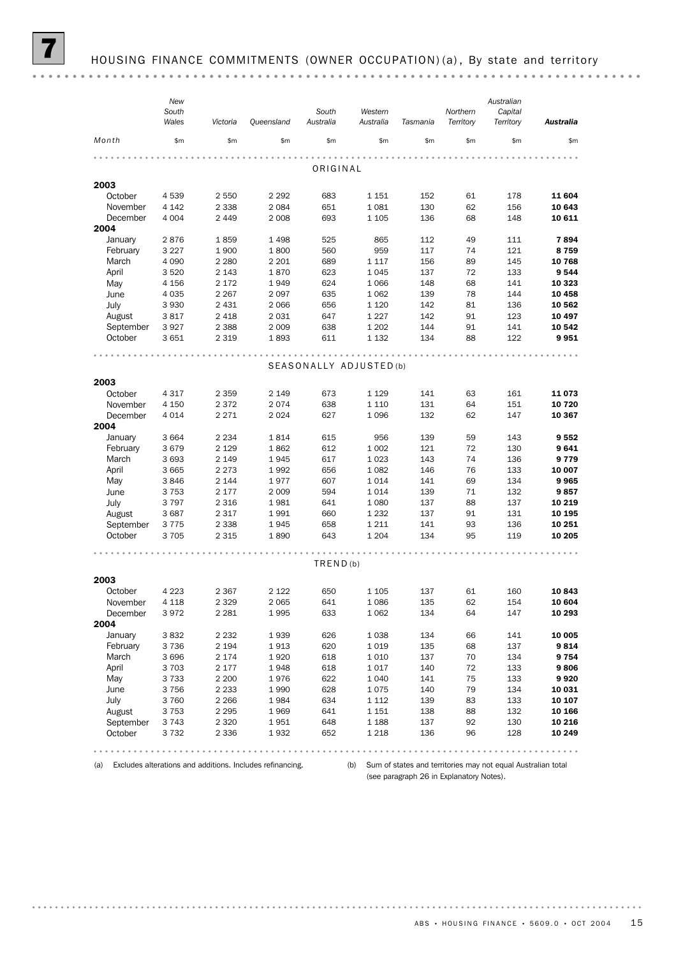|           | New     |          |            |           |                         |          |           | Australian |                            |
|-----------|---------|----------|------------|-----------|-------------------------|----------|-----------|------------|----------------------------|
|           | South   |          |            | South     | Western                 |          | Northern  | Capital    |                            |
|           | Wales   | Victoria | Queensland | Australia | Australia               | Tasmania | Territory | Territory  | <b>Australia</b>           |
| Month     | \$m\$   | \$m      | \$m\$      | \$m       | \$m\$                   | \$m      | \$m       | \$m        | \$m                        |
|           |         |          |            |           |                         |          |           |            | $\alpha$ $\alpha$ $\alpha$ |
|           |         |          |            | ORIGINAL  |                         |          |           |            |                            |
| 2003      |         |          |            |           |                         |          |           |            |                            |
| October   | 4539    | 2 5 5 0  | 2 2 9 2    | 683       | 1 1 5 1                 | 152      | 61        | 178        | 11 604                     |
| November  | 4 1 4 2 | 2 3 3 8  | 2 0 8 4    | 651       | 1081                    | 130      | 62        | 156        | 10 643                     |
| December  | 4 0 0 4 | 2 4 4 9  | 2 0 0 8    | 693       | $1\,105$                | 136      | 68        | 148        | 10 611                     |
| 2004      |         |          |            |           |                         |          |           |            |                            |
| January   | 2876    | 1859     | 1498       | 525       | 865                     | 112      | 49        | 111        | 7894                       |
| February  | 3 2 2 7 | 1900     | 1800       | 560       | 959                     | 117      | 74        | 121        | 8759                       |
| March     | 4 0 9 0 | 2 2 8 0  | 2 2 0 1    | 689       | 1 1 1 7                 | 156      | 89        | 145        | 10 768                     |
| April     | 3520    | 2 1 4 3  | 1870       | 623       | 1045                    | 137      | 72        | 133        | 9544                       |
| May       | 4 1 5 6 | 2 1 7 2  | 1949       | 624       | 1 0 6 6                 | 148      | 68        | 141        | 10 323                     |
| June      | 4 0 3 5 | 2 2 6 7  | 2097       | 635       | 1 0 6 2                 | 139      | 78        | 144        | 10 458                     |
| July      | 3 9 3 0 | 2 4 3 1  | 2 0 6 6    | 656       | 1 1 2 0                 | 142      | 81        | 136        | 10 562                     |
| August    | 3817    | 2 4 1 8  | 2031       | 647       | 1 2 2 7                 | 142      | 91        | 123        | 10 497                     |
| September | 3927    | 2 3 8 8  | 2 0 0 9    | 638       | 1 2 0 2                 | 144      | 91        | 141        | 10 542                     |
| October   | 3651    | 2 3 1 9  | 1893       | 611       | 1 1 3 2                 | 134      | 88        | 122        | 9951                       |
|           |         |          |            |           |                         | .        |           |            |                            |
|           |         |          |            |           | SEASONALLY ADJUSTED (b) |          |           |            |                            |
|           |         |          |            |           |                         |          |           |            |                            |
| 2003      |         |          |            |           |                         |          |           |            |                            |
| October   | 4 3 1 7 | 2 3 5 9  | 2 1 4 9    | 673       | 1 1 2 9                 | 141      | 63        | 161        | 11073                      |
| November  | 4 1 5 0 | 2 3 7 2  | 2074       | 638       | 1 1 1 0                 | 131      | 64        | 151        | 10 720                     |
| December  | 4 0 1 4 | 2 2 7 1  | 2 0 2 4    | 627       | 1096                    | 132      | 62        | 147        | 10 367                     |
| 2004      |         |          |            |           |                         |          |           |            |                            |
| January   | 3 6 6 4 | 2 2 3 4  | 1814       | 615       | 956                     | 139      | 59        | 143        | 9552                       |
| February  | 3679    | 2 1 2 9  | 1862       | 612       | 1 0 0 2                 | 121      | 72        | 130        | 9641                       |
| March     | 3693    | 2 1 4 9  | 1945       | 617       | 1023                    | 143      | 74        | 136        | 9779                       |
| April     | 3 6 6 5 | 2 2 7 3  | 1992       | 656       | 1 0 8 2                 | 146      | 76        | 133        | 10 007                     |
| May       | 3846    | 2 1 4 4  | 1977       | 607       | 1014                    | 141      | 69        | 134        | 9965                       |
| June      | 3753    | 2 1 7 7  | 2 0 0 9    | 594       | 1014                    | 139      | 71        | 132        | 9857                       |
| July      | 3797    | 2 3 1 6  | 1981       | 641       | 1 0 8 0                 | 137      | 88        | 137        | 10 219                     |
| August    | 3687    | 2 3 1 7  | 1991       | 660       | 1 2 3 2                 | 137      | 91        | 131        | 10 195                     |
| September | 3775    | 2 3 3 8  | 1945       | 658       | 1 2 1 1                 | 141      | 93        | 136        | 10 251                     |
| October   | 3705    | 2 3 1 5  | 1890       | 643       | 1 2 0 4                 | 134      | 95        | 119        | 10 205                     |
|           |         |          |            |           |                         |          |           |            |                            |
|           |         |          |            | TRED(b)   |                         |          |           |            |                            |
| 2003      |         |          |            |           |                         |          |           |            |                            |
| October   | 4 2 2 3 | 2 3 6 7  | 2 1 2 2    | 650       | 1 1 0 5                 | 137      | 61        | 160        | 10843                      |
| November  | 4 1 1 8 | 2 3 2 9  | 2 0 6 5    | 641       | 1086                    | 135      | 62        | 154        | 10 604                     |
| December  | 3972    | 2 2 8 1  | 1995       | 633       | 1062                    | 134      | 64        | 147        | 10 293                     |
| 2004      |         |          |            |           |                         |          |           |            |                            |
| January   | 3832    | 2 2 3 2  | 1939       | 626       | 1038                    | 134      | 66        | 141        | 10 005                     |
| February  | 3736    | 2 1 9 4  | 1913       | 620       | 1019                    | 135      | 68        | 137        | 9814                       |
| March     | 3696    | 2 1 7 4  | 1920       | 618       | 1 0 1 0                 | 137      | 70        | 134        | 9754                       |
| April     | 3703    | 2 177    | 1948       | 618       | 1017                    | 140      | 72        | 133        | 9806                       |
| May       | 3733    | 2 2 0 0  | 1976       | 622       | 1 0 4 0                 | 141      | 75        | 133        | 9920                       |
| June      | 3756    | 2 2 3 3  | 1990       | 628       | 1075                    | 140      | 79        | 134        | 10 031                     |
| July      | 3760    | 2 2 6 6  | 1984       | 634       | 1 1 1 2                 | 139      | 83        | 133        | 10 107                     |
| August    | 3753    | 2 2 9 5  | 1969       | 641       | 1 1 5 1                 | 138      | 88        | 132        | 10 166                     |
| September | 3743    | 2 3 2 0  | 1951       | 648       | 1 1 8 8                 | 137      | 92        | 130        | 10 216                     |
| October   | 3732    | 2 3 3 6  | 1932       | 652       | 1 2 1 8                 | 136      | 96        | 128        | 10 249                     |
|           |         |          |            |           |                         |          |           |            |                            |
|           |         |          | .          |           |                         |          |           |            |                            |

(a) Excludes alterations and additions. Includes refinancing.

(b) Sum of states and territories may not equal Australian total (see paragraph 26 in Explanatory Notes).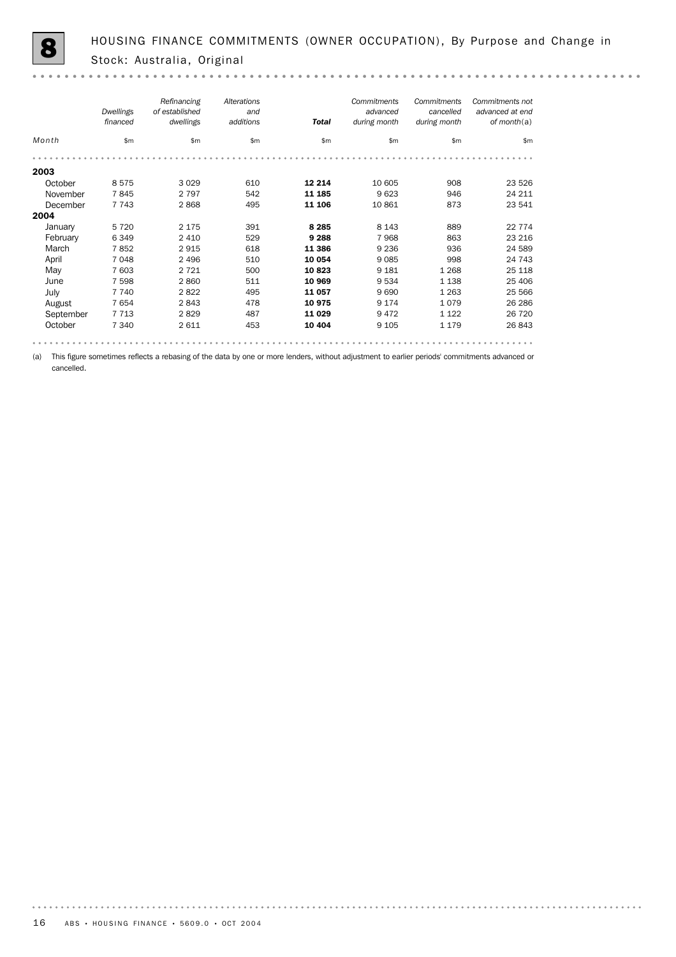$-0.00000$ 

|                                                                   | Dwellings<br>financed | Refinancing<br>of established<br>dwellings                                                                                       | Alterations<br>and<br>additions | <b>Total</b>                                                                    | Commitments<br>advanced<br>during month | Commitments<br>cancelled<br>during month | Commitments not<br>advanced at end<br>of month $(a)$ |
|-------------------------------------------------------------------|-----------------------|----------------------------------------------------------------------------------------------------------------------------------|---------------------------------|---------------------------------------------------------------------------------|-----------------------------------------|------------------------------------------|------------------------------------------------------|
| Month                                                             | \$m                   | \$m                                                                                                                              | \$m                             | \$m                                                                             | \$m                                     | \$m                                      | \$m                                                  |
|                                                                   |                       |                                                                                                                                  |                                 |                                                                                 |                                         |                                          |                                                      |
| 2003                                                              |                       |                                                                                                                                  |                                 |                                                                                 |                                         |                                          |                                                      |
| October                                                           | 8575                  | 3 0 2 9                                                                                                                          | 610                             | 12 2 14                                                                         | 10 605                                  | 908                                      | 23 5 26                                              |
| November                                                          | 7845                  | 2 7 9 7                                                                                                                          | 542                             | 11 185                                                                          | 9 6 23                                  | 946                                      | 24 211                                               |
| December                                                          | 7 7 4 3               | 2868                                                                                                                             | 495                             | 11 106                                                                          | 10 861                                  | 873                                      | 23 541                                               |
| 2004                                                              |                       |                                                                                                                                  |                                 |                                                                                 |                                         |                                          |                                                      |
| January                                                           | 5 7 2 0               | 2 1 7 5                                                                                                                          | 391                             | 8 2 8 5                                                                         | 8 1 4 3                                 | 889                                      | 22 7 7 4                                             |
| February                                                          | 6349                  | 2 4 1 0                                                                                                                          | 529                             | 9 2 8 8                                                                         | 7 9 6 8                                 | 863                                      | 23 216                                               |
| March                                                             | 7852                  | 2915                                                                                                                             | 618                             | 11 386                                                                          | 9 2 3 6                                 | 936                                      | 24 5 89                                              |
| April                                                             | 7048                  | 2 4 9 6                                                                                                                          | 510                             | 10 054                                                                          | 9085                                    | 998                                      | 24 743                                               |
| May                                                               | 7 603                 | 2 7 2 1                                                                                                                          | 500                             | 10823                                                                           | 9 1 8 1                                 | 1 2 6 8                                  | 25 118                                               |
| June                                                              | 7 5 9 8               | 2860                                                                                                                             | 511                             | 10 969                                                                          | 9 5 3 4                                 | 1 1 3 8                                  | 25 40 6                                              |
| July                                                              | 7 7 4 0               | 2822                                                                                                                             | 495                             | 11 057                                                                          | 9690                                    | 1 2 6 3                                  | 25 5 66                                              |
| August                                                            | 7654                  | 2843                                                                                                                             | 478                             | 10 975                                                                          | 9 1 7 4                                 | 1079                                     | 26 28 6                                              |
| September                                                         | 7713                  | 2829                                                                                                                             | 487                             | 11 0 29                                                                         | 9472                                    | 1 1 2 2                                  | 26 720                                               |
| October                                                           | 7 3 4 0               | 2 6 1 1                                                                                                                          | 453                             | 10 404                                                                          | 9 1 0 5                                 | 1 1 7 9                                  | 26 843                                               |
| $\mathbf{r}$ , and $\mathbf{r}$ and $\mathbf{r}$ and $\mathbf{r}$ |                       | $\sim$ $\sim$<br>the contract of the contract of the contract of the contract of the contract of the contract of the contract of |                                 | the contract of the contract of the contract of the contract of the contract of |                                         | .                                        |                                                      |

(a) This figure sometimes reflects a rebasing of the data by one or more lenders, without adjustment to earlier periods' commitments advanced or cancelled.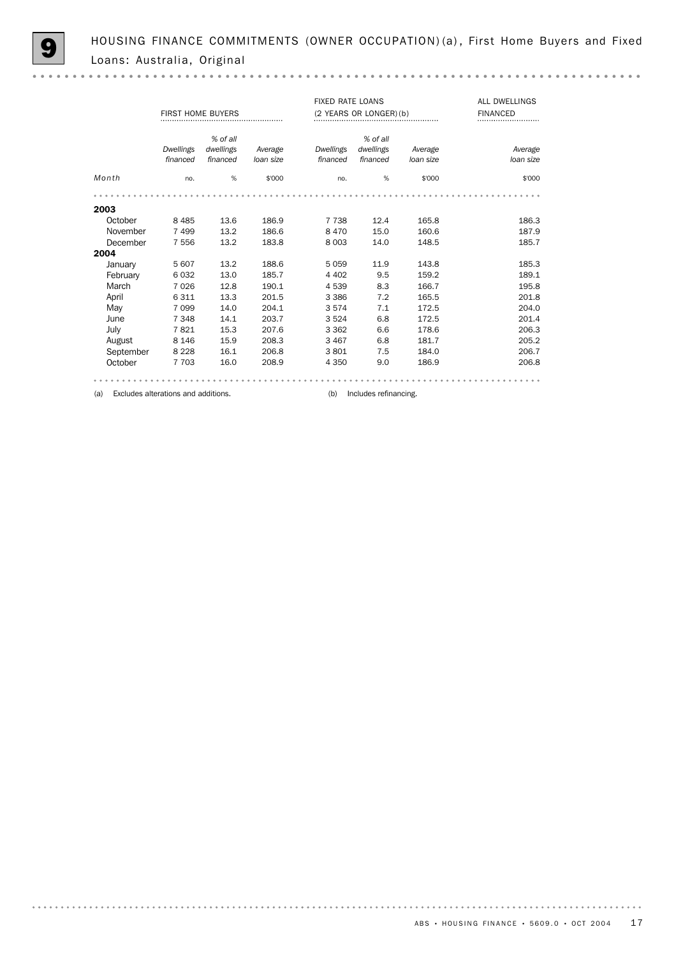$\sim$   $\sim$ 

|           | <b>FIXED RATE LOANS</b><br>FIRST HOME BUYERS<br>(2 YEARS OR LONGER) (b) |                                   |                      |                              |                                   |                      | <b>ALL DWELLINGS</b><br><b>FINANCED</b> |
|-----------|-------------------------------------------------------------------------|-----------------------------------|----------------------|------------------------------|-----------------------------------|----------------------|-----------------------------------------|
|           | <b>Dwellings</b><br>financed                                            | % of all<br>dwellings<br>financed | Average<br>loan size | <b>Dwellings</b><br>financed | % of all<br>dwellings<br>financed | Average<br>loan size | Average<br>loan size                    |
| Month     | no.                                                                     | %                                 | \$'000               | no.                          | %                                 | \$'000               | \$'000                                  |
|           |                                                                         |                                   |                      |                              |                                   |                      |                                         |
| 2003      |                                                                         |                                   |                      |                              |                                   |                      |                                         |
| October   | 8 4 8 5                                                                 | 13.6                              | 186.9                | 7 7 3 8                      | 12.4                              | 165.8                | 186.3                                   |
| November  | 7499                                                                    | 13.2                              | 186.6                | 8470                         | 15.0                              | 160.6                | 187.9                                   |
| December  | 7556                                                                    | 13.2                              | 183.8                | 8 0 0 3                      | 14.0                              | 148.5                | 185.7                                   |
| 2004      |                                                                         |                                   |                      |                              |                                   |                      |                                         |
| January   | 5 607                                                                   | 13.2                              | 188.6                | 5059                         | 11.9                              | 143.8                | 185.3                                   |
| February  | 6032                                                                    | 13.0                              | 185.7                | 4 4 0 2                      | 9.5                               | 159.2                | 189.1                                   |
| March     | 7026                                                                    | 12.8                              | 190.1                | 4539                         | 8.3                               | 166.7                | 195.8                                   |
| April     | 6 3 1 1                                                                 | 13.3                              | 201.5                | 3 3 8 6                      | 7.2                               | 165.5                | 201.8                                   |
| May       | 7 0 9 9                                                                 | 14.0                              | 204.1                | 3574                         | 7.1                               | 172.5                | 204.0                                   |
| June      | 7 3 4 8                                                                 | 14.1                              | 203.7                | 3524                         | 6.8                               | 172.5                | 201.4                                   |
| July      | 7821                                                                    | 15.3                              | 207.6                | 3 3 6 2                      | 6.6                               | 178.6                | 206.3                                   |
| August    | 8 1 4 6                                                                 | 15.9                              | 208.3                | 3 4 6 7                      | 6.8                               | 181.7                | 205.2                                   |
| September | 8 2 2 8                                                                 | 16.1                              | 206.8                | 3801                         | 7.5                               | 184.0                | 206.7                                   |
| October   | 7 7 0 3                                                                 | 16.0                              | 208.9                | 4 3 5 0                      | 9.0                               | 186.9                | 206.8                                   |
|           |                                                                         |                                   |                      |                              |                                   |                      |                                         |

(a) Excludes alterations and additions. (b) Includes refinancing.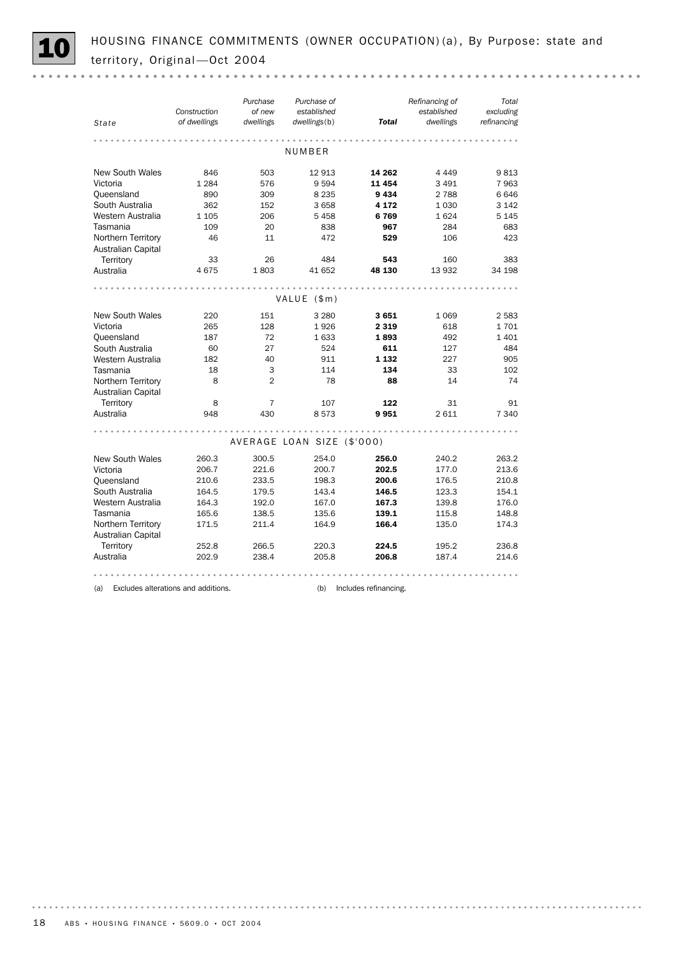HOUSING FINANCE COMMITMENTS (OWNER OCCUPATION) (a), By Purpose: state and territory, Original - Oct 2004

| State                                    | Construction<br>of dwellings | Purchase<br>of new<br>dwellings | Purchase of<br>established<br>dwellings(b) | Total   | Refinancing of<br>established<br>dwellings | Total<br>excluding<br>refinancing |  |  |  |  |  |
|------------------------------------------|------------------------------|---------------------------------|--------------------------------------------|---------|--------------------------------------------|-----------------------------------|--|--|--|--|--|
|                                          |                              |                                 |                                            |         |                                            |                                   |  |  |  |  |  |
|                                          |                              |                                 | NUMBER                                     |         |                                            |                                   |  |  |  |  |  |
| <b>New South Wales</b>                   | 846                          | 503                             | 12913                                      | 14 262  | 4 4 4 9                                    | 9813                              |  |  |  |  |  |
| Victoria                                 | 1 2 8 4                      | 576                             | 9594                                       | 11 454  | 3 4 9 1                                    | 7963                              |  |  |  |  |  |
| Queensland                               | 890                          | 309                             | 8 2 3 5                                    | 9434    | 2 7 8 8                                    | 6646                              |  |  |  |  |  |
| South Australia                          | 362                          | 152                             | 3658                                       | 4 172   | 1 0 3 0                                    | 3 1 4 2                           |  |  |  |  |  |
| Western Australia                        | 1 1 0 5                      | 206                             | 5458                                       | 6769    | 1624                                       | 5 1 4 5                           |  |  |  |  |  |
| Tasmania                                 | 109                          | 20                              | 838                                        | 967     | 284                                        | 683                               |  |  |  |  |  |
| Northern Territory<br>Australian Capital | 46                           | 11                              | 472                                        | 529     | 106                                        | 423                               |  |  |  |  |  |
| Territory                                | 33                           | 26                              | 484                                        | 543     | 160                                        | 383                               |  |  |  |  |  |
| Australia                                | 4675                         | 1803                            | 41 652                                     | 48 130  | 13 932                                     | 34 198                            |  |  |  |  |  |
|                                          |                              |                                 |                                            |         |                                            |                                   |  |  |  |  |  |
|                                          |                              |                                 | VALUE (\$m)                                |         |                                            |                                   |  |  |  |  |  |
| <b>New South Wales</b>                   | 220                          | 151                             | 3 2 8 0                                    | 3651    | 1 0 6 9                                    | 2 5 8 3                           |  |  |  |  |  |
| Victoria                                 | 265                          | 128                             | 1926                                       | 2 3 1 9 | 618                                        | 1701                              |  |  |  |  |  |
| Queensland                               | 187                          | 72                              | 1633                                       | 1893    | 492                                        | 1 4 0 1                           |  |  |  |  |  |
| South Australia                          | 60                           | 27                              | 524                                        | 611     | 127                                        | 484                               |  |  |  |  |  |
| Western Australia                        | 182                          | 40                              | 911                                        | 1 1 3 2 | 227                                        | 905                               |  |  |  |  |  |
| Tasmania                                 | 18                           | 3                               | 114                                        | 134     | 33                                         | 102                               |  |  |  |  |  |
| Northern Territory<br>Australian Capital | 8                            | $\overline{2}$                  | 78                                         | 88      | 14                                         | 74                                |  |  |  |  |  |
| Territory                                | 8                            | 7                               | 107                                        | 122     | 31                                         | 91                                |  |  |  |  |  |
| Australia                                | 948                          | 430                             | 8573                                       | 9951    | 2 6 1 1                                    | 7 340                             |  |  |  |  |  |
|                                          |                              |                                 | AVERAGE LOAN SIZE (\$'000)                 |         |                                            |                                   |  |  |  |  |  |
|                                          |                              |                                 |                                            |         |                                            |                                   |  |  |  |  |  |
| New South Wales                          | 260.3                        | 300.5                           | 254.0                                      | 256.0   | 240.2                                      | 263.2                             |  |  |  |  |  |
| Victoria                                 | 206.7                        | 221.6                           | 200.7                                      | 202.5   | 177.0                                      | 213.6                             |  |  |  |  |  |
| Queensland                               | 210.6                        | 233.5                           | 198.3                                      | 200.6   | 176.5                                      | 210.8                             |  |  |  |  |  |
| South Australia                          | 164.5                        | 179.5                           | 143.4                                      | 146.5   | 123.3                                      | 154.1                             |  |  |  |  |  |
| Western Australia                        | 164.3                        | 192.0                           | 167.0                                      | 167.3   | 139.8                                      | 176.0                             |  |  |  |  |  |
| Tasmania                                 | 165.6                        | 138.5                           | 135.6                                      | 139.1   | 115.8                                      | 148.8                             |  |  |  |  |  |
| Northern Territory<br>Australian Capital | 171.5                        | 211.4                           | 164.9                                      | 166.4   | 135.0                                      | 174.3                             |  |  |  |  |  |
| Territory                                | 252.8                        | 266.5                           | 220.3                                      | 224.5   | 195.2                                      | 236.8                             |  |  |  |  |  |
| Australia                                | 202.9                        | 238.4                           | 205.8                                      | 206.8   | 187.4                                      | 214.6                             |  |  |  |  |  |
|                                          |                              |                                 |                                            |         |                                            |                                   |  |  |  |  |  |

(a) Excludes alterations and additions. (b) Includes refinancing.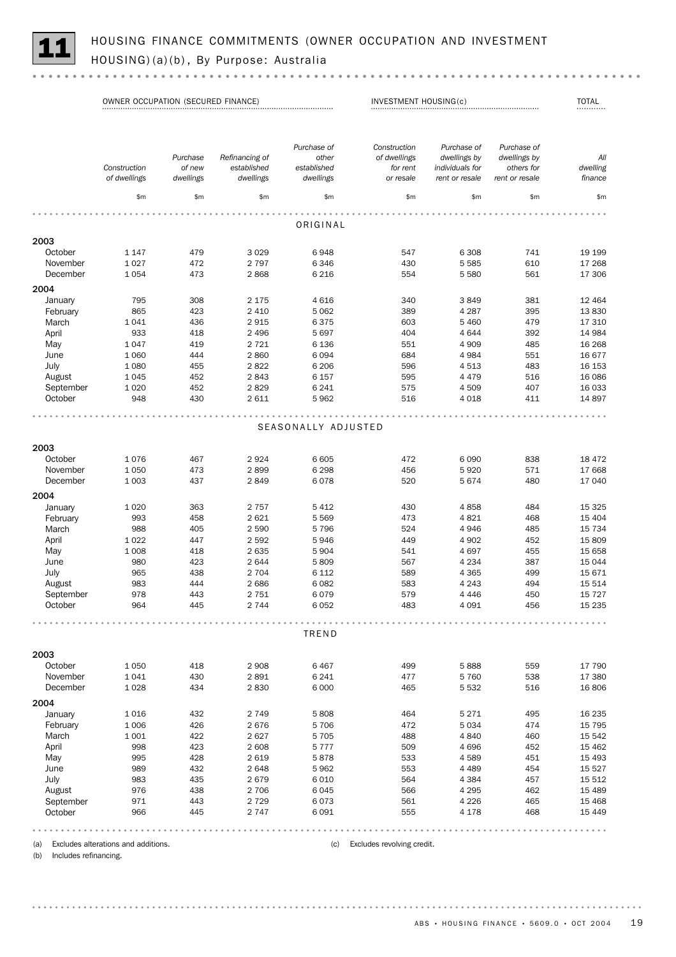|           | OWNER OCCUPATION (SECURED FINANCE) |                                 |                                            |                                                  | INVESTMENT HOUSING(c)                                 |                                                                  |                                                             | <b>TOTAL</b>               |
|-----------|------------------------------------|---------------------------------|--------------------------------------------|--------------------------------------------------|-------------------------------------------------------|------------------------------------------------------------------|-------------------------------------------------------------|----------------------------|
|           | Construction<br>of dwellings       | Purchase<br>of new<br>dwellings | Refinancing of<br>established<br>dwellings | Purchase of<br>other<br>established<br>dwellings | Construction<br>of dwellings<br>for rent<br>or resale | Purchase of<br>dwellings by<br>individuals for<br>rent or resale | Purchase of<br>dwellings by<br>others for<br>rent or resale | All<br>dwelling<br>finance |
|           | \$m                                | \$m                             | \$m                                        | \$m                                              | \$m\$                                                 | \$m                                                              | \$m                                                         | \$m                        |
|           |                                    |                                 |                                            |                                                  |                                                       |                                                                  |                                                             |                            |
|           |                                    |                                 |                                            | ORIGINAL                                         |                                                       |                                                                  |                                                             |                            |
| 2003      |                                    |                                 |                                            |                                                  |                                                       |                                                                  |                                                             |                            |
| October   | 1 1 4 7                            | 479                             | 3 0 2 9                                    | 6948                                             | 547                                                   | 6 3 0 8                                                          | 741                                                         | 19 19 9                    |
| November  | 1 0 2 7                            | 472                             | 2 7 9 7                                    | 6 3 4 6                                          | 430                                                   | 5 5 8 5                                                          | 610                                                         | 17 268                     |
| December  | 1054                               | 473                             | 2868                                       | 6 2 1 6                                          | 554                                                   | 5 5 8 0                                                          | 561                                                         | 17 306                     |
| 2004      |                                    |                                 |                                            |                                                  |                                                       |                                                                  |                                                             |                            |
| January   | 795                                | 308                             | 2 1 7 5                                    | 4 6 1 6                                          | 340                                                   | 3849                                                             | 381                                                         | 12 4 64                    |
| February  | 865                                | 423                             | 2 4 1 0                                    | 5 0 6 2                                          | 389                                                   | 4 2 8 7                                                          | 395                                                         | 13830                      |
| March     | 1041                               | 436                             | 2915                                       | 6375                                             | 603                                                   | 5 4 6 0                                                          | 479                                                         | 17 310                     |
| April     | 933                                | 418                             | 2 4 9 6                                    | 5 6 9 7                                          | 404                                                   | 4644                                                             | 392                                                         | 14 984                     |
| May       | 1047                               | 419                             | 2 7 2 1                                    | 6 1 3 6                                          | 551                                                   | 4 9 0 9                                                          | 485                                                         | 16 268                     |
| June      | 1 0 6 0                            | 444                             | 2860                                       | 6 0 9 4                                          | 684                                                   | 4 9 8 4                                                          | 551                                                         | 16 677                     |
| July      | 1 0 8 0                            | 455                             | 2822                                       | 6 2 0 6                                          | 596                                                   | 4513                                                             | 483                                                         | 16 153                     |
| August    | 1045                               | 452                             | 2843                                       | 6 157                                            | 595                                                   | 4 4 7 9                                                          | 516                                                         | 16 086                     |
| September | 1 0 2 0                            | 452                             | 2829                                       | 6 2 4 1                                          | 575                                                   | 4509                                                             | 407                                                         | 16 033                     |
| October   | 948                                | 430                             | 2611                                       | 5 9 6 2                                          | 516                                                   | 4 0 18                                                           | 411                                                         | 14 897                     |
|           |                                    |                                 |                                            |                                                  |                                                       |                                                                  |                                                             |                            |
|           |                                    |                                 |                                            | SEASONALLY ADJUSTED                              |                                                       |                                                                  |                                                             |                            |
| 2003      |                                    |                                 |                                            |                                                  |                                                       |                                                                  |                                                             |                            |
| October   | 1076                               | 467                             | 2924                                       | 6 6 0 5                                          | 472                                                   | 6090                                                             | 838                                                         | 18 472                     |
| November  | 1 0 5 0                            | 473                             | 2899                                       | 6 2 9 8                                          | 456                                                   | 5920                                                             | 571                                                         | 17 668                     |
| December  | 1 0 0 3                            | 437                             | 2849                                       | 6078                                             | 520                                                   | 5674                                                             | 480                                                         | 17 040                     |
| 2004      |                                    |                                 |                                            |                                                  |                                                       |                                                                  |                                                             |                            |
| January   | 1 0 2 0                            | 363                             | 2 7 5 7                                    | 5 4 1 2                                          | 430                                                   | 4858                                                             | 484                                                         | 15 3 25                    |
| February  | 993                                | 458                             | 2 6 2 1                                    | 5 5 6 9                                          | 473                                                   | 4821                                                             | 468                                                         | 15 4 04                    |
| March     | 988                                | 405                             | 2 5 9 0                                    | 5 7 9 6                                          | 524                                                   | 4946                                                             | 485                                                         | 15 7 34                    |
| April     | 1 0 2 2                            | 447                             | 2 5 9 2                                    | 5946                                             | 449                                                   | 4 9 0 2                                                          | 452                                                         | 15 809                     |
| May       | 1 0 0 8                            | 418                             | 2 6 3 5                                    | 5 9 0 4                                          | 541                                                   | 4697                                                             | 455                                                         | 15 658                     |
| June      | 980                                | 423                             | 2644                                       | 5809                                             | 567                                                   | 4 2 3 4                                                          | 387                                                         | 15 044                     |
| July      | 965                                | 438                             | 2 7 0 4                                    | 6 1 1 2                                          | 589                                                   | 4 3 6 5                                                          | 499                                                         | 15 671                     |
| August    | 983                                | 444                             | 2686                                       | 6 0 8 2                                          | 583                                                   | 4 2 4 3                                                          | 494                                                         | 15 514                     |
| September | 978                                | 443                             | 2 7 5 1                                    | 6079                                             | 579                                                   | 4 4 4 6                                                          | 450                                                         | 15 7 27                    |
| October   | 964                                | 445                             | 2 7 4 4                                    | 6 0 5 2                                          | 483                                                   | 4 0 9 1                                                          | 456                                                         | 15 2 35                    |

|           |         |     |         | TREND   |     |         |     |         |
|-----------|---------|-----|---------|---------|-----|---------|-----|---------|
| 2003      |         |     |         |         |     |         |     |         |
| October   | 1 0 5 0 | 418 | 2 9 0 8 | 6467    | 499 | 5888    | 559 | 17 790  |
| November  | 1041    | 430 | 2891    | 6 2 4 1 | 477 | 5 7 6 0 | 538 | 17 380  |
| December  | 1028    | 434 | 2830    | 6 0 0 0 | 465 | 5 5 3 2 | 516 | 16 806  |
| 2004      |         |     |         |         |     |         |     |         |
| January   | 1016    | 432 | 2 7 4 9 | 5808    | 464 | 5 2 7 1 | 495 | 16 235  |
| February  | 1 0 0 6 | 426 | 2676    | 5 706   | 472 | 5 0 3 4 | 474 | 15 795  |
| March     | 1 0 0 1 | 422 | 2627    | 5 7 0 5 | 488 | 4 8 4 0 | 460 | 15 542  |
| April     | 998     | 423 | 2 608   | 5 7 7 7 | 509 | 4696    | 452 | 15 4 62 |
| May       | 995     | 428 | 2619    | 5878    | 533 | 4589    | 451 | 15 4 93 |
| June      | 989     | 432 | 2648    | 5962    | 553 | 4 4 8 9 | 454 | 15 5 27 |
| July      | 983     | 435 | 2679    | 6 0 1 0 | 564 | 4 3 8 4 | 457 | 15 512  |
| August    | 976     | 438 | 2 7 0 6 | 6 0 4 5 | 566 | 4 2 9 5 | 462 | 15 4 89 |
| September | 971     | 443 | 2 7 2 9 | 6073    | 561 | 4 2 2 6 | 465 | 15 4 68 |
| October   | 966     | 445 | 2 7 4 7 | 6 0 9 1 | 555 | 4 1 7 8 | 468 | 15 449  |

(a) Excludes alterations and additions. (c) Excludes revolving credit.

(b) Includes refinancing.

ABS • HOUSING FINANCE • 5609.0 • OCT 2004 19

 $\begin{array}{ccccccccc} 0 & 0 & 0 & 0 & 0 \end{array}$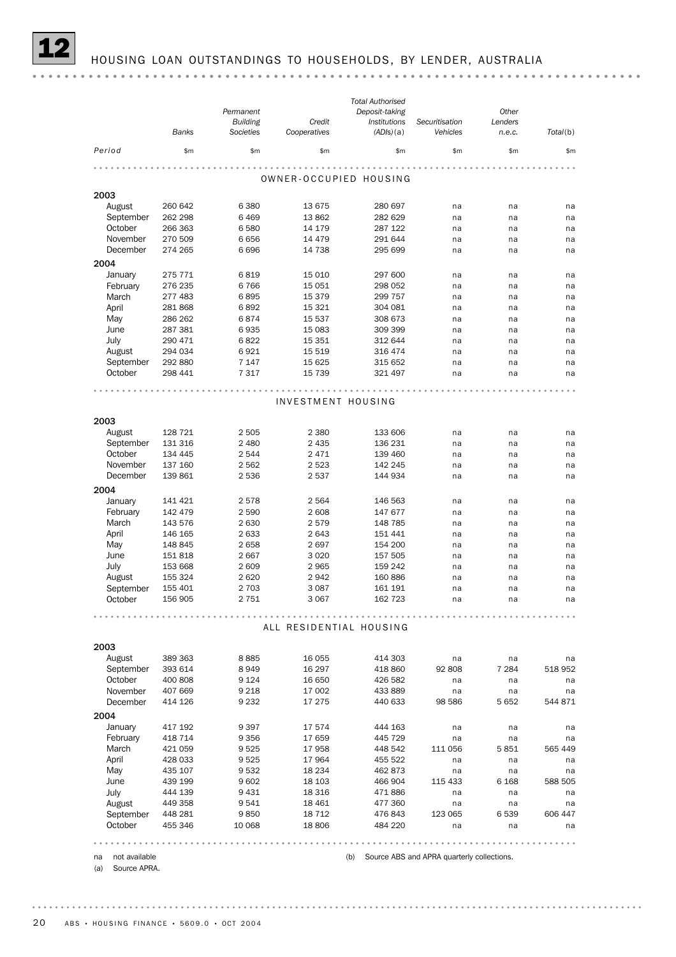|                      | <b>Banks</b>       | Permanent<br><b>Building</b><br>Societies | Credit<br>Cooperatives  | <b>Total Authorised</b><br>Deposit-taking<br>Institutions<br>(ADIs)(a) | Securitisation<br>Vehicles | Other<br>Lenders<br>n.e.c. | Total(b) |
|----------------------|--------------------|-------------------------------------------|-------------------------|------------------------------------------------------------------------|----------------------------|----------------------------|----------|
| Period               | \$m\$              | \$m                                       | \$m                     | \$m                                                                    | \$m                        | \$m                        | \$m      |
|                      |                    |                                           | OWNER-OCCUPIED HOUSING  |                                                                        |                            |                            |          |
| 2003                 |                    |                                           |                         |                                                                        |                            |                            |          |
| August               | 260 642            | 6 3 8 0                                   | 13 675                  | 280 697                                                                | na                         | na                         | na       |
| September            | 262 298            | 6 4 6 9                                   | 13862                   | 282 629                                                                | na                         | na                         | na       |
| October              | 266 363            | 6 5 8 0                                   | 14 179                  | 287 122                                                                | na                         | na                         | na       |
| November             | 270 509            | 6656                                      | 14 4 79                 | 291 644                                                                | na                         | na                         | na       |
| December             | 274 265            | 6696                                      | 14 738                  | 295 699                                                                | na                         | na                         | na       |
| 2004                 |                    |                                           |                         |                                                                        |                            |                            |          |
| January              | 275 771            | 6819                                      | 15 010                  | 297 600                                                                | na                         | na                         | na       |
| February             | 276 235            | 6766                                      | 15 051                  | 298 052                                                                | na                         | na                         | na       |
| March                | 277 483            | 6895                                      | 15 379                  | 299 757                                                                | na                         | na                         | na       |
| April                | 281868             | 6892                                      | 15 3 21                 | 304 081                                                                | na                         | na                         | na       |
| May                  | 286 262            | 6874                                      | 15 5 37                 | 308 673                                                                | na                         | na                         | na       |
| June                 | 287 381            | 6935                                      | 15 083                  | 309 399                                                                | na                         | na                         | na       |
| July                 | 290 471            | 6822                                      | 15 351                  | 312 644                                                                | na                         | na                         | na       |
| August               | 294 034            | 6921                                      | 15 519                  | 316 474                                                                | na                         | na                         | na       |
| September            | 292 880            | 7 1 4 7                                   | 15 625                  | 315 652                                                                | na                         | na                         | na       |
| October              | 298 441            | 7 3 1 7                                   | 15 7 39                 | 321 497                                                                | na                         | na                         | na       |
| 2003                 |                    |                                           |                         |                                                                        |                            |                            |          |
| August               | 128 721            | 2 5 0 5                                   | 2 3 8 0                 | 133 606                                                                | na                         | na                         | na       |
| September            | 131 316            | 2 4 8 0                                   | 2 4 3 5                 | 136 231                                                                | na                         | na                         | na       |
| October              | 134 445            | 2 5 4 4                                   | 2471                    | 139 460                                                                | na                         | na                         | na       |
| November<br>December | 137 160<br>139 861 | 2 5 6 2<br>2 5 3 6                        | 2 5 2 3<br>2537         | 142 245<br>144 934                                                     | na                         | na                         | na       |
|                      |                    |                                           |                         |                                                                        | na                         | na                         | na       |
| 2004                 |                    |                                           |                         |                                                                        |                            |                            |          |
| January              | 141 421            | 2578                                      | 2 5 6 4                 | 146 563                                                                | na                         | na                         | na       |
| February             | 142 479            | 2 5 9 0                                   | 2 608                   | 147 677                                                                | na                         | na                         | na       |
| March                | 143 576            | 2 6 3 0                                   | 2579                    | 148 785                                                                | na                         | na                         | na       |
| April                | 146 165<br>148 845 | 2 6 3 3<br>2 6 5 8                        | 2 6 4 3<br>2697         | 151 441<br>154 200                                                     | na                         | na                         | na       |
| May<br>June          |                    | 2667                                      | 3 0 2 0                 |                                                                        | na                         | na                         | na       |
| July                 | 151 818<br>153 668 | 2 609                                     | 2965                    | 157 505<br>159 242                                                     | na<br>na                   | na<br>na                   | na       |
| August               | 155 324            | 2 6 2 0                                   | 2942                    | 160 886                                                                | na                         | na                         | na<br>na |
| September            | 155 401            | 2 7 0 3                                   | 3 0 8 7                 | 161 191                                                                | na                         | na                         | na       |
| October              | 156 905            | 2 751                                     | 3 0 6 7                 | 162 723                                                                | na                         | na                         | na       |
|                      |                    |                                           |                         |                                                                        |                            |                            |          |
|                      |                    |                                           | ALL RESIDENTIAL HOUSING |                                                                        |                            |                            |          |
| 2003                 |                    |                                           |                         |                                                                        |                            |                            |          |
| August               | 389 363            | 8885                                      | 16 0 55                 | 414 303                                                                | na                         | na                         | na       |
| September            | 393 614            | 8949                                      | 16 297                  | 418 860                                                                | 92 808                     | 7 2 8 4                    | 518 952  |
| October              | 400 808            | 9 1 2 4                                   | 16 650                  | 426 582                                                                | na                         | na                         | na       |
| November             | 407 669            | 9 2 1 8                                   | 17 002                  | 433 889                                                                | na                         | na                         | na       |
| December             | 414 126            | 9 2 3 2                                   | 17 275                  | 440 633                                                                | 98 586                     | 5 6 5 2                    | 544 871  |
| 2004                 |                    |                                           |                         |                                                                        |                            |                            |          |

|  | 004 |  |
|--|-----|--|
|  |     |  |

-<br>
17 574 - 144 163 na na na na<br>
February 118 714 9 356 17 659 145 729 na na na na 19 1 192 9 397 17 574 444 163 na na na na<br>17 59 148 714 9 356 17 659 445 729 na na na na March 421 059 9 525 17 958 448 542 111 056 5 851 565 449 April 428 033 9 525 17 964 455 522 na na na na<br>May 435 107 9 532 18 234 462 873 na na na na May 435 107 9 532 18 234 462 873 na na na June 439 199 9 602 18 103 466 904 115 433 6 168 588 505 July 444 139 9 431 18 316 471 886 na na na August 449 358 9 541 18 461 477 360 na na na September 448 281 9 850 18 712 476 843 123 065 6 539 606 447 October 455 346 10 068 18 806 484 220 na na na 

(a) Source APRA.

na not available (b) Source ABS and APRA quarterly collections.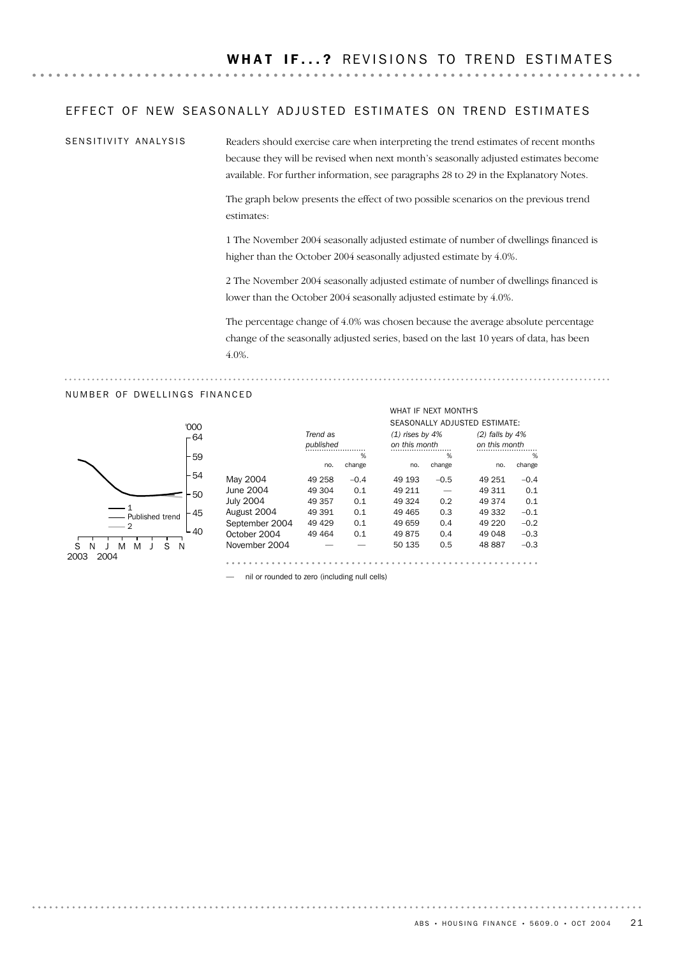#### EFFECT OF NEW SEASONALLY ADJUSTED ESTIMATES ON TREND ESTIMATES

SENSITIVITY ANALYSIS

Readers should exercise care when interpreting the trend estimates of recent months because they will be revised when next month's seasonally adjusted estimates become available. For further information, see paragraphs 28 to 29 in the Explanatory Notes.

The graph below presents the effect of two possible scenarios on the previous trend estimates:

1 The November 2004 seasonally adjusted estimate of number of dwellings financed is higher than the October 2004 seasonally adjusted estimate by 4.0%.

2 The November 2004 seasonally adjusted estimate of number of dwellings financed is lower than the October 2004 seasonally adjusted estimate by 4.0%.

The percentage change of 4.0% was chosen because the average absolute percentage change of the seasonally adjusted series, based on the last 10 years of data, has been 4.0%.

WHAT IF NEXT MONTH'S

#### NUMBER OF DWELLINGS FINANCED



|                  |           |        |                   |        | SEASONALLY ADJUSTED ESTIMATE: |        |
|------------------|-----------|--------|-------------------|--------|-------------------------------|--------|
|                  | Trend as  |        | $(1)$ rises by 4% |        | $(2)$ falls by 4%             |        |
|                  | published |        | on this month     |        | on this month                 |        |
|                  |           | %      |                   | %      |                               | %      |
|                  | no.       | change | no.               | change | no.                           | change |
| May 2004         | 49 258    | $-0.4$ | 49 193            | $-0.5$ | 49 251                        | $-0.4$ |
| June 2004        | 49 304    | 0.1    | 49 211            |        | 49 311                        | 0.1    |
| <b>July 2004</b> | 49 357    | 0.1    | 49 324            | 0.2    | 49 374                        | 0.1    |
| August 2004      | 49 391    | 0.1    | 49 4 65           | 0.3    | 49 332                        | $-0.1$ |
| September 2004   | 49 4 29   | 0.1    | 49 659            | 0.4    | 49 2 20                       | $-0.2$ |
| October 2004     | 49 4 64   | 0.1    | 49875             | 0.4    | 49 048                        | $-0.3$ |
| November 2004    |           |        | 50 135            | 0.5    | 48887                         | $-0.3$ |

— nil or rounded to zero (including null cells)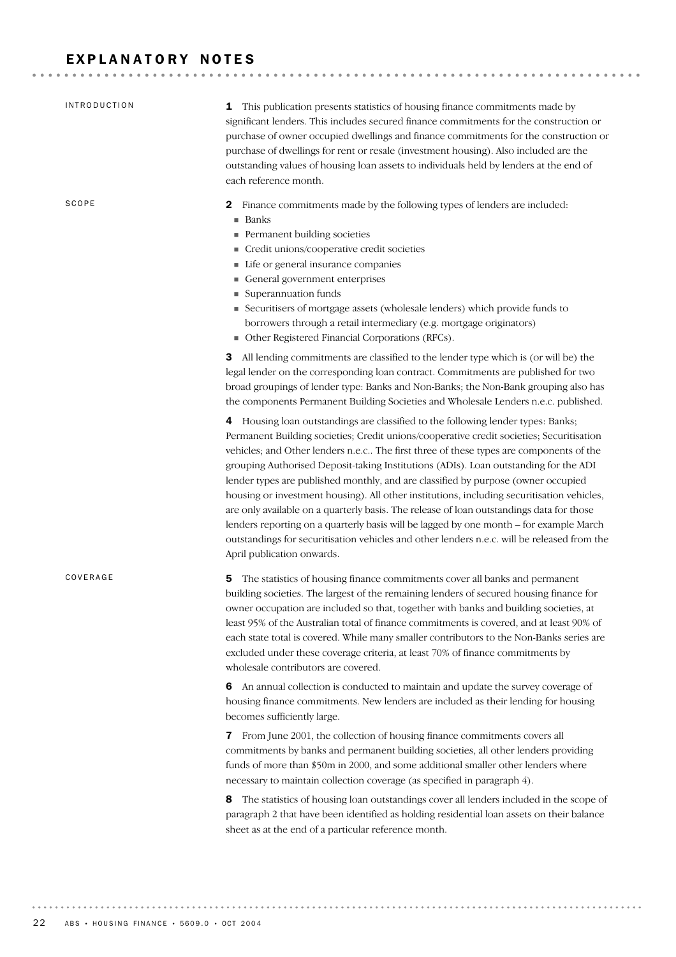# EXPLANATORY NOTES

| <b>INTRODUCTION</b> | 1 This publication presents statistics of housing finance commitments made by<br>significant lenders. This includes secured finance commitments for the construction or<br>purchase of owner occupied dwellings and finance commitments for the construction or<br>purchase of dwellings for rent or resale (investment housing). Also included are the<br>outstanding values of housing loan assets to individuals held by lenders at the end of<br>each reference month.                                                                                                                                                                                                                                                                                                                                                                                           |
|---------------------|----------------------------------------------------------------------------------------------------------------------------------------------------------------------------------------------------------------------------------------------------------------------------------------------------------------------------------------------------------------------------------------------------------------------------------------------------------------------------------------------------------------------------------------------------------------------------------------------------------------------------------------------------------------------------------------------------------------------------------------------------------------------------------------------------------------------------------------------------------------------|
| SCOPE               | Finance commitments made by the following types of lenders are included:<br>2<br>■ Banks<br>Permanent building societies<br>Credit unions/cooperative credit societies<br>Life or general insurance companies<br>General government enterprises<br>Superannuation funds<br>Securitisers of mortgage assets (wholesale lenders) which provide funds to<br>borrowers through a retail intermediary (e.g. mortgage originators)<br>• Other Registered Financial Corporations (RFCs).                                                                                                                                                                                                                                                                                                                                                                                    |
|                     | <b>3</b> All lending commitments are classified to the lender type which is (or will be) the<br>legal lender on the corresponding loan contract. Commitments are published for two<br>broad groupings of lender type: Banks and Non-Banks; the Non-Bank grouping also has<br>the components Permanent Building Societies and Wholesale Lenders n.e.c. published.                                                                                                                                                                                                                                                                                                                                                                                                                                                                                                     |
|                     | 4 Housing loan outstandings are classified to the following lender types: Banks;<br>Permanent Building societies; Credit unions/cooperative credit societies; Securitisation<br>vehicles; and Other lenders n.e.c The first three of these types are components of the<br>grouping Authorised Deposit-taking Institutions (ADIs). Loan outstanding for the ADI<br>lender types are published monthly, and are classified by purpose (owner occupied<br>housing or investment housing). All other institutions, including securitisation vehicles,<br>are only available on a quarterly basis. The release of loan outstandings data for those<br>lenders reporting on a quarterly basis will be lagged by one month - for example March<br>outstandings for securitisation vehicles and other lenders n.e.c. will be released from the<br>April publication onwards. |
| COVERAGE            | The statistics of housing finance commitments cover all banks and permanent<br>5<br>building societies. The largest of the remaining lenders of secured housing finance for<br>owner occupation are included so that, together with banks and building societies, at<br>least 95% of the Australian total of finance commitments is covered, and at least 90% of<br>each state total is covered. While many smaller contributors to the Non-Banks series are<br>excluded under these coverage criteria, at least 70% of finance commitments by<br>wholesale contributors are covered.                                                                                                                                                                                                                                                                                |
|                     | 6 An annual collection is conducted to maintain and update the survey coverage of<br>housing finance commitments. New lenders are included as their lending for housing<br>becomes sufficiently large.                                                                                                                                                                                                                                                                                                                                                                                                                                                                                                                                                                                                                                                               |
|                     | From June 2001, the collection of housing finance commitments covers all<br>$\mathbf{z}$<br>commitments by banks and permanent building societies, all other lenders providing<br>funds of more than \$50m in 2000, and some additional smaller other lenders where<br>necessary to maintain collection coverage (as specified in paragraph 4).                                                                                                                                                                                                                                                                                                                                                                                                                                                                                                                      |
|                     | The statistics of housing loan outstandings cover all lenders included in the scope of<br>8<br>paragraph 2 that have been identified as holding residential loan assets on their balance<br>sheet as at the end of a particular reference month.                                                                                                                                                                                                                                                                                                                                                                                                                                                                                                                                                                                                                     |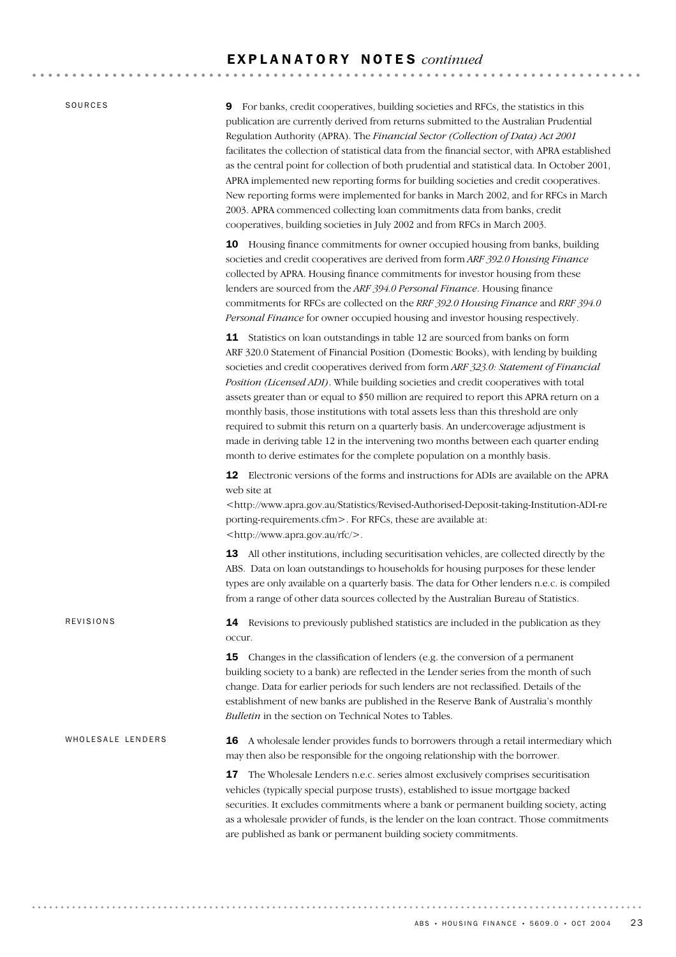#### E X P L A N A T O R Y N O T E S *continued*

SOURCES

REVISIONS

9 For banks, credit cooperatives, building societies and RFCs, the statistics in this publication are currently derived from returns submitted to the Australian Prudential Regulation Authority (APRA). The *Financial Sector (Collection of Data) Act 2001* facilitates the collection of statistical data from the financial sector, with APRA established as the central point for collection of both prudential and statistical data. In October 2001, APRA implemented new reporting forms for building societies and credit cooperatives. New reporting forms were implemented for banks in March 2002, and for RFCs in March 2003. APRA commenced collecting loan commitments data from banks, credit cooperatives, building societies in July 2002 and from RFCs in March 2003.

10 Housing finance commitments for owner occupied housing from banks, building societies and credit cooperatives are derived from form *ARF 392.0 Housing Finance* collected by APRA. Housing finance commitments for investor housing from these lenders are sourced from the *ARF 394.0 Personal Finance*. Housing finance commitments for RFCs are collected on the *RRF 392.0 Housing Finance* and *RRF 394.0 Personal Finance* for owner occupied housing and investor housing respectively.

11 Statistics on loan outstandings in table 12 are sourced from banks on form ARF 320.0 Statement of Financial Position (Domestic Books), with lending by building societies and credit cooperatives derived from form *ARF 323.0: Statement of Financial Position (Licensed ADI)*. While building societies and credit cooperatives with total assets greater than or equal to \$50 million are required to report this APRA return on a monthly basis, those institutions with total assets less than this threshold are only required to submit this return on a quarterly basis. An undercoverage adjustment is made in deriving table 12 in the intervening two months between each quarter ending month to derive estimates for the complete population on a monthly basis.

12 Electronic versions of the forms and instructions for ADIs are available on the APRA web site at

<http://www.apra.gov.au/Statistics/Revised-Authorised-Deposit-taking-Institution-ADI-re porting-requirements.cfm>. For RFCs, these are available at: <http://www.apra.gov.au/rfc/>.

13 All other institutions, including securitisation vehicles, are collected directly by the ABS. Data on loan outstandings to households for housing purposes for these lender types are only available on a quarterly basis. The data for Other lenders n.e.c. is compiled from a range of other data sources collected by the Australian Bureau of Statistics.

14 Revisions to previously published statistics are included in the publication as they occur.

**15** Changes in the classification of lenders (e.g. the conversion of a permanent building society to a bank) are reflected in the Lender series from the month of such change. Data for earlier periods for such lenders are not reclassified. Details of the establishment of new banks are published in the Reserve Bank of Australia's monthly *Bulletin* in the section on Technical Notes to Tables.

16 A wholesale lender provides funds to borrowers through a retail intermediary which may then also be responsible for the ongoing relationship with the borrower. WHOLESALE LENDERS

> 17 The Wholesale Lenders n.e.c. series almost exclusively comprises securitisation vehicles (typically special purpose trusts), established to issue mortgage backed securities. It excludes commitments where a bank or permanent building society, acting as a wholesale provider of funds, is the lender on the loan contract. Those commitments are published as bank or permanent building society commitments.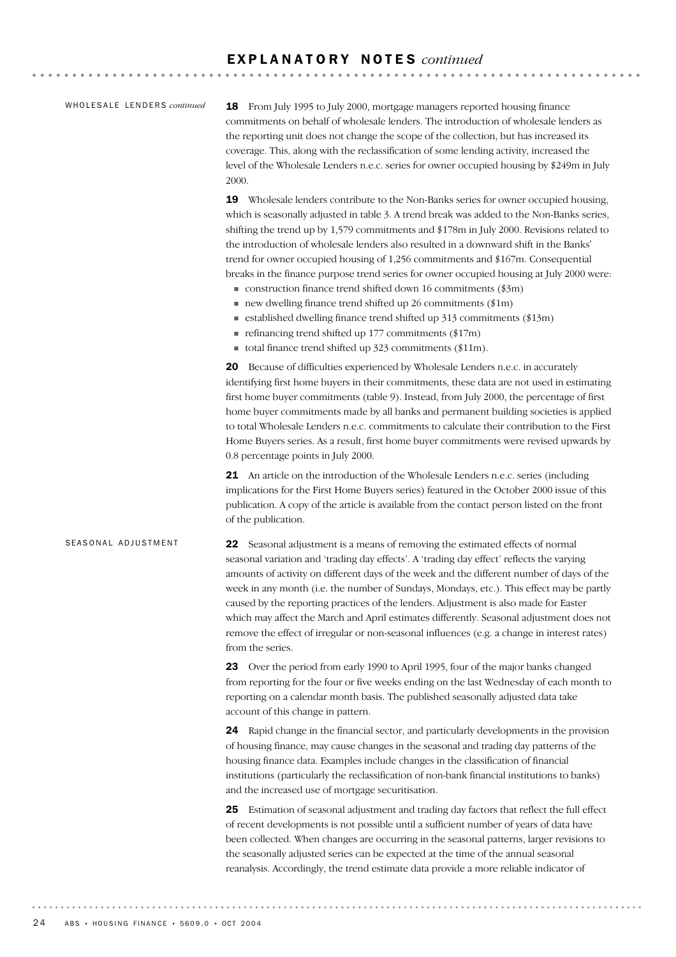#### E X P L A N A T O R Y N O T E S *continued*

#### WHOLESALE LENDERS *continued*

18 From July 1995 to July 2000, mortgage managers reported housing finance commitments on behalf of wholesale lenders. The introduction of wholesale lenders as the reporting unit does not change the scope of the collection, but has increased its coverage. This, along with the reclassification of some lending activity, increased the level of the Wholesale Lenders n.e.c. series for owner occupied housing by \$249m in July 2000.

19 Wholesale lenders contribute to the Non-Banks series for owner occupied housing, which is seasonally adjusted in table 3. A trend break was added to the Non-Banks series, shifting the trend up by 1,579 commitments and \$178m in July 2000. Revisions related to the introduction of wholesale lenders also resulted in a downward shift in the Banks' trend for owner occupied housing of 1,256 commitments and \$167m. Consequential breaks in the finance purpose trend series for owner occupied housing at July 2000 were:

- $\blacksquare$  construction finance trend shifted down 16 commitments (\$3m)
- $\blacksquare$  new dwelling finance trend shifted up 26 commitments (\$1m)
- $\blacksquare$  established dwelling finance trend shifted up 313 commitments (\$13m)
- $\blacksquare$  refinancing trend shifted up 177 commitments (\$17m)
- total finance trend shifted up  $323$  commitments (\$11m).

20 Because of difficulties experienced by Wholesale Lenders n.e.c. in accurately identifying first home buyers in their commitments, these data are not used in estimating first home buyer commitments (table 9). Instead, from July 2000, the percentage of first home buyer commitments made by all banks and permanent building societies is applied to total Wholesale Lenders n.e.c. commitments to calculate their contribution to the First Home Buyers series. As a result, first home buyer commitments were revised upwards by 0.8 percentage points in July 2000.

21 An article on the introduction of the Wholesale Lenders n.e.c. series (including implications for the First Home Buyers series) featured in the October 2000 issue of this publication. A copy of the article is available from the contact person listed on the front of the publication.

#### SEASONAL ADJUSTMENT

22 Seasonal adjustment is a means of removing the estimated effects of normal seasonal variation and 'trading day effects'. A 'trading day effect' reflects the varying amounts of activity on different days of the week and the different number of days of the week in any month (i.e. the number of Sundays, Mondays, etc.). This effect may be partly caused by the reporting practices of the lenders. Adjustment is also made for Easter which may affect the March and April estimates differently. Seasonal adjustment does not remove the effect of irregular or non-seasonal influences (e.g. a change in interest rates) from the series.

23 Over the period from early 1990 to April 1995, four of the major banks changed from reporting for the four or five weeks ending on the last Wednesday of each month to reporting on a calendar month basis. The published seasonally adjusted data take account of this change in pattern.

24 Rapid change in the financial sector, and particularly developments in the provision of housing finance, may cause changes in the seasonal and trading day patterns of the housing finance data. Examples include changes in the classification of financial institutions (particularly the reclassification of non-bank financial institutions to banks) and the increased use of mortgage securitisation.

25 Estimation of seasonal adjustment and trading day factors that reflect the full effect of recent developments is not possible until a sufficient number of years of data have been collected. When changes are occurring in the seasonal patterns, larger revisions to the seasonally adjusted series can be expected at the time of the annual seasonal reanalysis. Accordingly, the trend estimate data provide a more reliable indicator of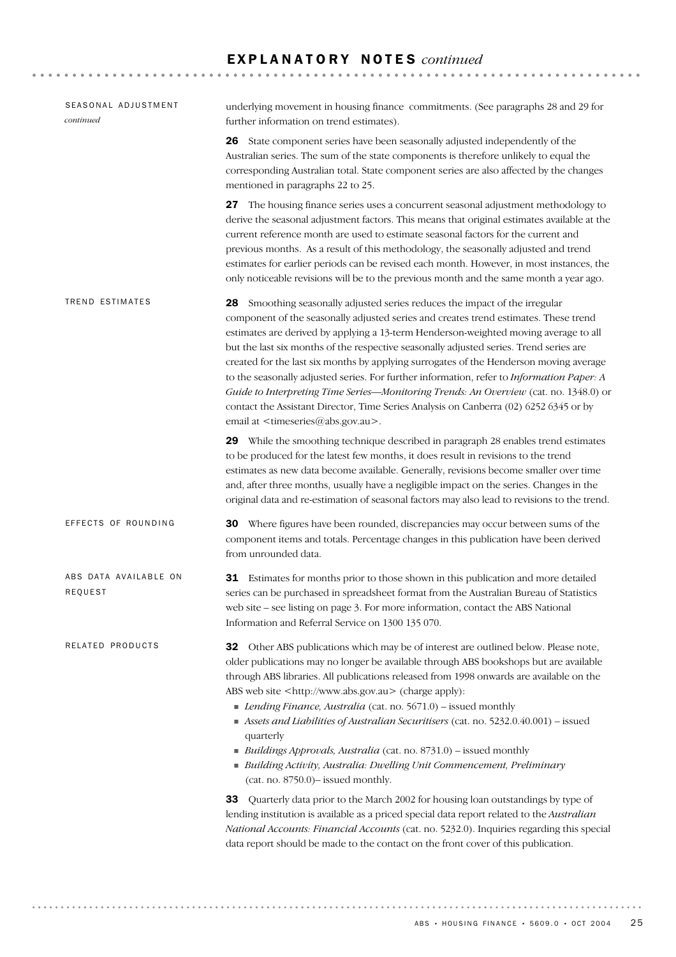# E X P L A N A T O R Y N O T E S *continued*

| SEASONAL ADJUSTMENT<br>continued | underlying movement in housing finance commitments. (See paragraphs 28 and 29 for<br>further information on trend estimates).                                                                                                                                                                                                                                                                                                                                                                                                                                                                                                                                                                                                                                                               |
|----------------------------------|---------------------------------------------------------------------------------------------------------------------------------------------------------------------------------------------------------------------------------------------------------------------------------------------------------------------------------------------------------------------------------------------------------------------------------------------------------------------------------------------------------------------------------------------------------------------------------------------------------------------------------------------------------------------------------------------------------------------------------------------------------------------------------------------|
|                                  | 26 State component series have been seasonally adjusted independently of the<br>Australian series. The sum of the state components is therefore unlikely to equal the<br>corresponding Australian total. State component series are also affected by the changes<br>mentioned in paragraphs 22 to 25.                                                                                                                                                                                                                                                                                                                                                                                                                                                                                       |
|                                  | 27 The housing finance series uses a concurrent seasonal adjustment methodology to<br>derive the seasonal adjustment factors. This means that original estimates available at the<br>current reference month are used to estimate seasonal factors for the current and<br>previous months. As a result of this methodology, the seasonally adjusted and trend<br>estimates for earlier periods can be revised each month. However, in most instances, the<br>only noticeable revisions will be to the previous month and the same month a year ago.                                                                                                                                                                                                                                         |
| TREND ESTIMATES                  | 28 Smoothing seasonally adjusted series reduces the impact of the irregular<br>component of the seasonally adjusted series and creates trend estimates. These trend<br>estimates are derived by applying a 13-term Henderson-weighted moving average to all<br>but the last six months of the respective seasonally adjusted series. Trend series are<br>created for the last six months by applying surrogates of the Henderson moving average<br>to the seasonally adjusted series. For further information, refer to Information Paper: A<br>Guide to Interpreting Time Series-Monitoring Trends: An Overview (cat. no. 1348.0) or<br>contact the Assistant Director, Time Series Analysis on Canberra (02) 6252 6345 or by<br>email at <timeseries@abs.gov.au>.</timeseries@abs.gov.au> |
|                                  | 29 While the smoothing technique described in paragraph 28 enables trend estimates<br>to be produced for the latest few months, it does result in revisions to the trend<br>estimates as new data become available. Generally, revisions become smaller over time<br>and, after three months, usually have a negligible impact on the series. Changes in the<br>original data and re-estimation of seasonal factors may also lead to revisions to the trend.                                                                                                                                                                                                                                                                                                                                |
| EFFECTS OF ROUNDING              | <b>30</b> Where figures have been rounded, discrepancies may occur between sums of the<br>component items and totals. Percentage changes in this publication have been derived<br>from unrounded data.                                                                                                                                                                                                                                                                                                                                                                                                                                                                                                                                                                                      |
| ABS DATA AVAILABLE ON<br>REQUEST | 31 Estimates for months prior to those shown in this publication and more detailed<br>series can be purchased in spreadsheet format from the Australian Bureau of Statistics<br>web site - see listing on page 3. For more information, contact the ABS National<br>Information and Referral Service on 1300 135 070.                                                                                                                                                                                                                                                                                                                                                                                                                                                                       |
| RELATED PRODUCTS                 | <b>32</b> Other ABS publications which may be of interest are outlined below. Please note,<br>older publications may no longer be available through ABS bookshops but are available<br>through ABS libraries. All publications released from 1998 onwards are available on the<br>ABS web site <http: www.abs.gov.au=""> (charge apply):<br/>Lending Finance, Australia (cat. no. 5671.0) - issued monthly<br/>Assets and Liabilities of Australian Securitisers (cat. no. 5232.0.40.001) - issued<br/>quarterly<br/>Buildings Approvals, Australia (cat. no. 8731.0) - issued monthly<br/>Building Activity, Australia: Dwelling Unit Commencement, Preliminary<br/>(cat. no. 8750.0) - issued monthly.</http:>                                                                            |
|                                  | 33 Quarterly data prior to the March 2002 for housing loan outstandings by type of<br>lending institution is available as a priced special data report related to the Australian<br>National Accounts: Financial Accounts (cat. no. 5232.0). Inquiries regarding this special<br>data report should be made to the contact on the front cover of this publication.                                                                                                                                                                                                                                                                                                                                                                                                                          |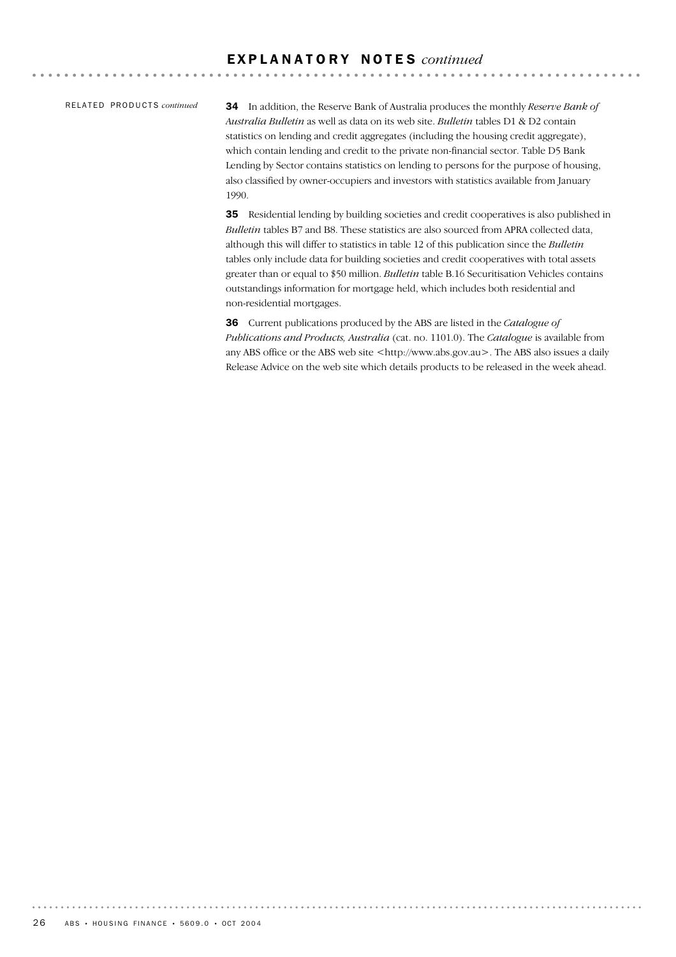#### RE L A T E D PR O D U C T S *continued*

34 In addition, the Reserve Bank of Australia produces the monthly *Reserve Bank of Australia Bulletin* as well as data on its web site. *Bulletin* tables D1 & D2 contain statistics on lending and credit aggregates (including the housing credit aggregate), which contain lending and credit to the private non-financial sector. Table D5 Bank Lending by Sector contains statistics on lending to persons for the purpose of housing, also classified by owner-occupiers and investors with statistics available from January 1990.

35 Residential lending by building societies and credit cooperatives is also published in *Bulletin* tables B7 and B8. These statistics are also sourced from APRA collected data, although this will differ to statistics in table 12 of this publication since the *Bulletin* tables only include data for building societies and credit cooperatives with total assets greater than or equal to \$50 million. *Bulletin* table B.16 Securitisation Vehicles contains outstandings information for mortgage held, which includes both residential and non-residential mortgages.

36 Current publications produced by the ABS are listed in the *Catalogue of Publications and Products, Australia* (cat. no. 1101.0). The *Catalogue* is available from any ABS office or the ABS web site <http://www.abs.gov.au>. The ABS also issues a daily Release Advice on the web site which details products to be released in the week ahead.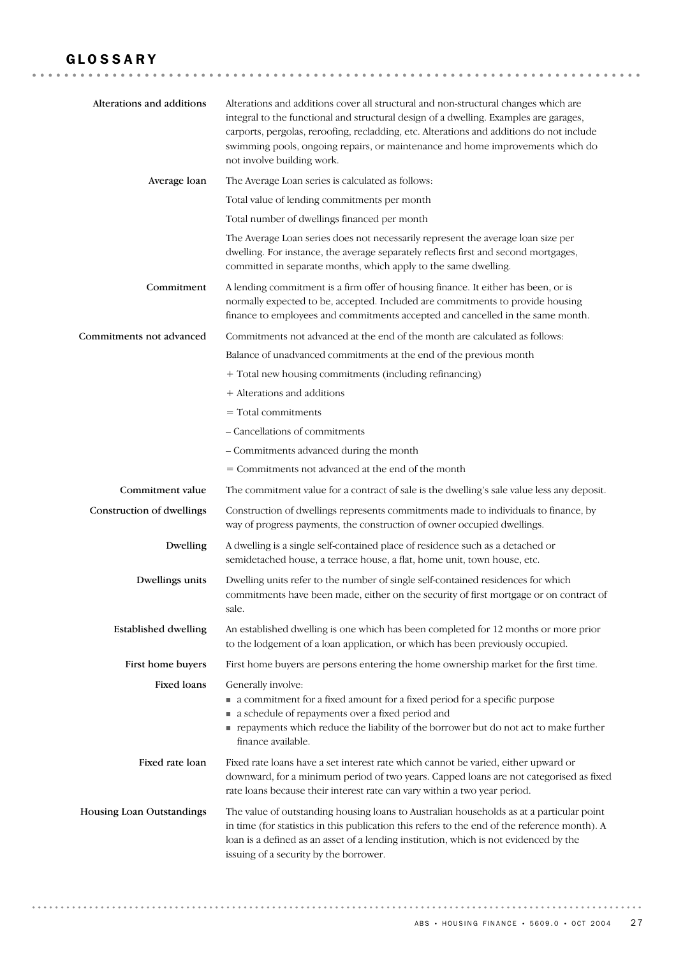# GLOSSARY

| Alterations and additions   | Alterations and additions cover all structural and non-structural changes which are<br>integral to the functional and structural design of a dwelling. Examples are garages,<br>carports, pergolas, reroofing, recladding, etc. Alterations and additions do not include<br>swimming pools, ongoing repairs, or maintenance and home improvements which do<br>not involve building work. |
|-----------------------------|------------------------------------------------------------------------------------------------------------------------------------------------------------------------------------------------------------------------------------------------------------------------------------------------------------------------------------------------------------------------------------------|
| Average loan                | The Average Loan series is calculated as follows:                                                                                                                                                                                                                                                                                                                                        |
|                             | Total value of lending commitments per month                                                                                                                                                                                                                                                                                                                                             |
|                             | Total number of dwellings financed per month                                                                                                                                                                                                                                                                                                                                             |
|                             | The Average Loan series does not necessarily represent the average loan size per<br>dwelling. For instance, the average separately reflects first and second mortgages,<br>committed in separate months, which apply to the same dwelling.                                                                                                                                               |
| Commitment                  | A lending commitment is a firm offer of housing finance. It either has been, or is<br>normally expected to be, accepted. Included are commitments to provide housing<br>finance to employees and commitments accepted and cancelled in the same month.                                                                                                                                   |
| Commitments not advanced    | Commitments not advanced at the end of the month are calculated as follows:                                                                                                                                                                                                                                                                                                              |
|                             | Balance of unadvanced commitments at the end of the previous month                                                                                                                                                                                                                                                                                                                       |
|                             | + Total new housing commitments (including refinancing)                                                                                                                                                                                                                                                                                                                                  |
|                             | + Alterations and additions                                                                                                                                                                                                                                                                                                                                                              |
|                             | $=$ Total commitments                                                                                                                                                                                                                                                                                                                                                                    |
|                             | - Cancellations of commitments                                                                                                                                                                                                                                                                                                                                                           |
|                             | - Commitments advanced during the month                                                                                                                                                                                                                                                                                                                                                  |
|                             | = Commitments not advanced at the end of the month                                                                                                                                                                                                                                                                                                                                       |
| Commitment value            | The commitment value for a contract of sale is the dwelling's sale value less any deposit.                                                                                                                                                                                                                                                                                               |
| Construction of dwellings   | Construction of dwellings represents commitments made to individuals to finance, by<br>way of progress payments, the construction of owner occupied dwellings.                                                                                                                                                                                                                           |
| Dwelling                    | A dwelling is a single self-contained place of residence such as a detached or<br>semidetached house, a terrace house, a flat, home unit, town house, etc.                                                                                                                                                                                                                               |
| Dwellings units             | Dwelling units refer to the number of single self-contained residences for which<br>commitments have been made, either on the security of first mortgage or on contract of<br>sale.                                                                                                                                                                                                      |
| <b>Established dwelling</b> | An established dwelling is one which has been completed for 12 months or more prior<br>to the lodgement of a loan application, or which has been previously occupied.                                                                                                                                                                                                                    |
| First home buyers           | First home buyers are persons entering the home ownership market for the first time.                                                                                                                                                                                                                                                                                                     |
| <b>Fixed loans</b>          | Generally involve:<br>• a commitment for a fixed amount for a fixed period for a specific purpose<br>• a schedule of repayments over a fixed period and<br>payments which reduce the liability of the borrower but do not act to make further<br>finance available.                                                                                                                      |
| Fixed rate loan             | Fixed rate loans have a set interest rate which cannot be varied, either upward or<br>downward, for a minimum period of two years. Capped loans are not categorised as fixed<br>rate loans because their interest rate can vary within a two year period.                                                                                                                                |
| Housing Loan Outstandings   | The value of outstanding housing loans to Australian households as at a particular point<br>in time (for statistics in this publication this refers to the end of the reference month). A<br>loan is a defined as an asset of a lending institution, which is not evidenced by the<br>issuing of a security by the borrower.                                                             |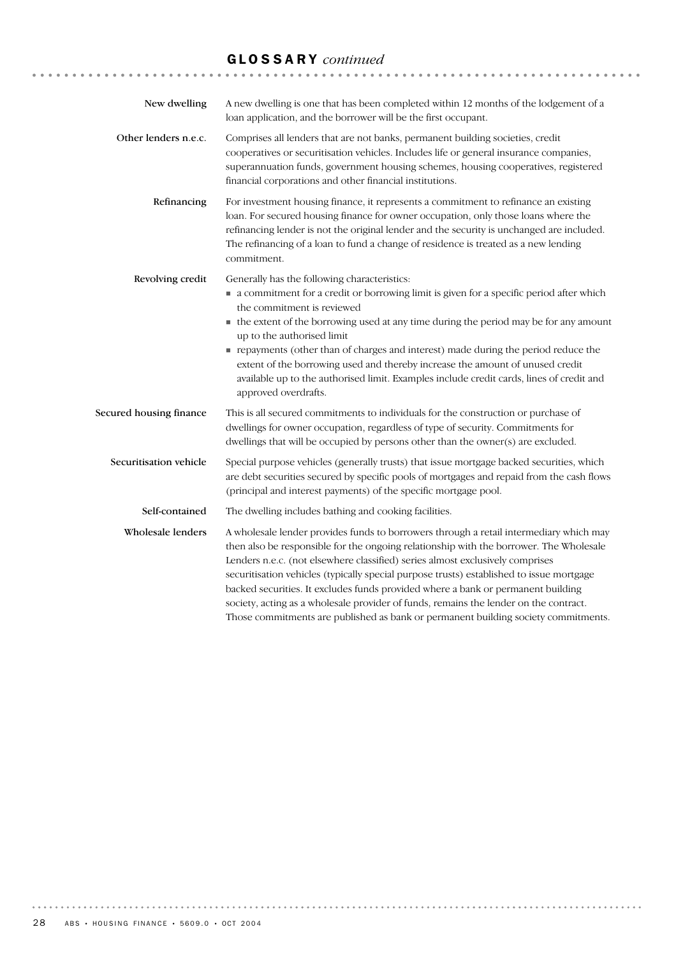# GLOSSARY *continued*

| New dwelling            | A new dwelling is one that has been completed within 12 months of the lodgement of a<br>loan application, and the borrower will be the first occupant.                                                                                                                                                                                                                                                                                                                                                                                                                                                                           |
|-------------------------|----------------------------------------------------------------------------------------------------------------------------------------------------------------------------------------------------------------------------------------------------------------------------------------------------------------------------------------------------------------------------------------------------------------------------------------------------------------------------------------------------------------------------------------------------------------------------------------------------------------------------------|
| Other lenders n.e.c.    | Comprises all lenders that are not banks, permanent building societies, credit<br>cooperatives or securitisation vehicles. Includes life or general insurance companies,<br>superannuation funds, government housing schemes, housing cooperatives, registered<br>financial corporations and other financial institutions.                                                                                                                                                                                                                                                                                                       |
| Refinancing             | For investment housing finance, it represents a commitment to refinance an existing<br>loan. For secured housing finance for owner occupation, only those loans where the<br>refinancing lender is not the original lender and the security is unchanged are included.<br>The refinancing of a loan to fund a change of residence is treated as a new lending<br>commitment.                                                                                                                                                                                                                                                     |
| Revolving credit        | Generally has the following characteristics:<br>• a commitment for a credit or borrowing limit is given for a specific period after which<br>the commitment is reviewed<br>• the extent of the borrowing used at any time during the period may be for any amount<br>up to the authorised limit<br>repayments (other than of charges and interest) made during the period reduce the<br>extent of the borrowing used and thereby increase the amount of unused credit<br>available up to the authorised limit. Examples include credit cards, lines of credit and<br>approved overdrafts.                                        |
| Secured housing finance | This is all secured commitments to individuals for the construction or purchase of<br>dwellings for owner occupation, regardless of type of security. Commitments for<br>dwellings that will be occupied by persons other than the owner(s) are excluded.                                                                                                                                                                                                                                                                                                                                                                        |
| Securitisation vehicle  | Special purpose vehicles (generally trusts) that issue mortgage backed securities, which<br>are debt securities secured by specific pools of mortgages and repaid from the cash flows<br>(principal and interest payments) of the specific mortgage pool.                                                                                                                                                                                                                                                                                                                                                                        |
| Self-contained          | The dwelling includes bathing and cooking facilities.                                                                                                                                                                                                                                                                                                                                                                                                                                                                                                                                                                            |
| Wholesale lenders       | A wholesale lender provides funds to borrowers through a retail intermediary which may<br>then also be responsible for the ongoing relationship with the borrower. The Wholesale<br>Lenders n.e.c. (not elsewhere classified) series almost exclusively comprises<br>securitisation vehicles (typically special purpose trusts) established to issue mortgage<br>backed securities. It excludes funds provided where a bank or permanent building<br>society, acting as a wholesale provider of funds, remains the lender on the contract.<br>Those commitments are published as bank or permanent building society commitments. |